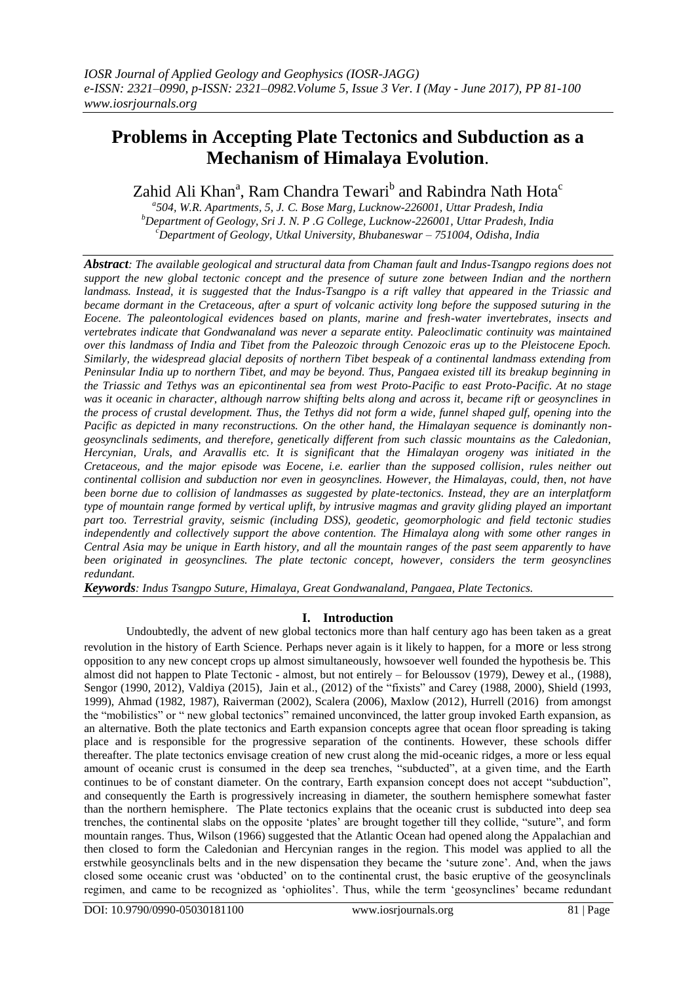# **Problems in Accepting Plate Tectonics and Subduction as a Mechanism of Himalaya Evolution**.

Zahid Ali Khan<sup>a</sup>, Ram Chandra Tewari<sup>b</sup> and Rabindra Nath Hota<sup>c</sup>

*a 504, W.R. Apartments, 5, J. C. Bose Marg, Lucknow-226001, Uttar Pradesh, India <sup>b</sup>Department of Geology, Sri J. N. P .G College, Lucknow-226001, Uttar Pradesh, India <sup>c</sup>Department of Geology, Utkal University, Bhubaneswar – 751004, Odisha, India*

*Abstract: The available geological and structural data from Chaman fault and Indus-Tsangpo regions does not support the new global tectonic concept and the presence of suture zone between Indian and the northern landmass. Instead, it is suggested that the Indus-Tsangpo is a rift valley that appeared in the Triassic and became dormant in the Cretaceous, after a spurt of volcanic activity long before the supposed suturing in the Eocene. The paleontological evidences based on plants, marine and fresh-water invertebrates, insects and vertebrates indicate that Gondwanaland was never a separate entity. Paleoclimatic continuity was maintained over this landmass of India and Tibet from the Paleozoic through Cenozoic eras up to the Pleistocene Epoch. Similarly, the widespread glacial deposits of northern Tibet bespeak of a continental landmass extending from Peninsular India up to northern Tibet, and may be beyond. Thus, Pangaea existed till its breakup beginning in the Triassic and Tethys was an epicontinental sea from west Proto-Pacific to east Proto-Pacific. At no stage was it oceanic in character, although narrow shifting belts along and across it, became rift or geosynclines in the process of crustal development. Thus, the Tethys did not form a wide, funnel shaped gulf, opening into the Pacific as depicted in many reconstructions. On the other hand, the Himalayan sequence is dominantly nongeosynclinals sediments, and therefore, genetically different from such classic mountains as the Caledonian, Hercynian, Urals, and Aravallis etc. It is significant that the Himalayan orogeny was initiated in the Cretaceous, and the major episode was Eocene, i.e. earlier than the supposed collision, rules neither out continental collision and subduction nor even in geosynclines. However, the Himalayas, could, then, not have been borne due to collision of landmasses as suggested by plate-tectonics. Instead, they are an interplatform type of mountain range formed by vertical uplift, by intrusive magmas and gravity gliding played an important part too. Terrestrial gravity, seismic (including DSS), geodetic, geomorphologic and field tectonic studies independently and collectively support the above contention. The Himalaya along with some other ranges in Central Asia may be unique in Earth history, and all the mountain ranges of the past seem apparently to have been originated in geosynclines. The plate tectonic concept, however, considers the term geosynclines redundant.*

*Keywords: Indus Tsangpo Suture, Himalaya, Great Gondwanaland, Pangaea, Plate Tectonics.*

# **I. Introduction**

Undoubtedly, the advent of new global tectonics more than half century ago has been taken as a great revolution in the history of Earth Science. Perhaps never again is it likely to happen, for a more or less strong opposition to any new concept crops up almost simultaneously, howsoever well founded the hypothesis be. This almost did not happen to Plate Tectonic - almost, but not entirely – for Beloussov (1979), Dewey et al., (1988), Sengor (1990, 2012), Valdiya (2015), Jain et al., (2012) of the "fixists" and Carey (1988, 2000), Shield (1993, 1999), Ahmad (1982, 1987), Raiverman (2002), Scalera (2006), Maxlow (2012), Hurrell (2016) from amongst the "mobilistics" or " new global tectonics" remained unconvinced, the latter group invoked Earth expansion, as an alternative. Both the plate tectonics and Earth expansion concepts agree that ocean floor spreading is taking place and is responsible for the progressive separation of the continents. However, these schools differ thereafter. The plate tectonics envisage creation of new crust along the mid-oceanic ridges, a more or less equal amount of oceanic crust is consumed in the deep sea trenches, "subducted", at a given time, and the Earth continues to be of constant diameter. On the contrary, Earth expansion concept does not accept "subduction", and consequently the Earth is progressively increasing in diameter, the southern hemisphere somewhat faster than the northern hemisphere. The Plate tectonics explains that the oceanic crust is subducted into deep sea trenches, the continental slabs on the opposite 'plates' are brought together till they collide, "suture", and form mountain ranges. Thus, Wilson (1966) suggested that the Atlantic Ocean had opened along the Appalachian and then closed to form the Caledonian and Hercynian ranges in the region. This model was applied to all the erstwhile geosynclinals belts and in the new dispensation they became the 'suture zone'. And, when the jaws closed some oceanic crust was 'obducted' on to the continental crust, the basic eruptive of the geosynclinals regimen, and came to be recognized as 'ophiolites'. Thus, while the term 'geosynclines' became redundant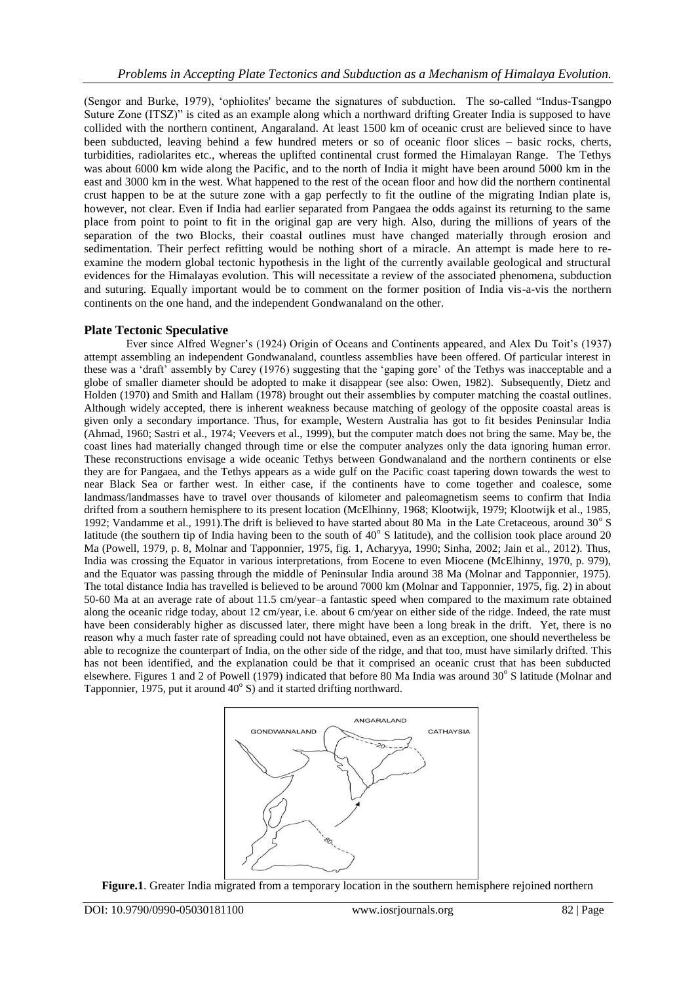(Sengor and Burke, 1979), 'ophiolites' became the signatures of subduction. The so-called "Indus-Tsangpo Suture Zone (ITSZ)" is cited as an example along which a northward drifting Greater India is supposed to have collided with the northern continent, Angaraland. At least 1500 km of oceanic crust are believed since to have been subducted, leaving behind a few hundred meters or so of oceanic floor slices – basic rocks, cherts, turbidities, radiolarites etc., whereas the uplifted continental crust formed the Himalayan Range. The Tethys was about 6000 km wide along the Pacific, and to the north of India it might have been around 5000 km in the east and 3000 km in the west. What happened to the rest of the ocean floor and how did the northern continental crust happen to be at the suture zone with a gap perfectly to fit the outline of the migrating Indian plate is, however, not clear. Even if India had earlier separated from Pangaea the odds against its returning to the same place from point to point to fit in the original gap are very high. Also, during the millions of years of the separation of the two Blocks, their coastal outlines must have changed materially through erosion and sedimentation. Their perfect refitting would be nothing short of a miracle. An attempt is made here to reexamine the modern global tectonic hypothesis in the light of the currently available geological and structural evidences for the Himalayas evolution. This will necessitate a review of the associated phenomena, subduction and suturing. Equally important would be to comment on the former position of India vis-a-vis the northern continents on the one hand, and the independent Gondwanaland on the other.

# **Plate Tectonic Speculative**

Ever since Alfred Wegner's (1924) Origin of Oceans and Continents appeared, and Alex Du Toit's (1937) attempt assembling an independent Gondwanaland, countless assemblies have been offered. Of particular interest in these was a 'draft' assembly by Carey (1976) suggesting that the 'gaping gore' of the Tethys was inacceptable and a globe of smaller diameter should be adopted to make it disappear (see also: Owen, 1982). Subsequently, Dietz and Holden (1970) and Smith and Hallam (1978) brought out their assemblies by computer matching the coastal outlines. Although widely accepted, there is inherent weakness because matching of geology of the opposite coastal areas is given only a secondary importance. Thus, for example, Western Australia has got to fit besides Peninsular India (Ahmad, 1960; Sastri et al., 1974; Veevers et al., 1999), but the computer match does not bring the same. May be, the coast lines had materially changed through time or else the computer analyzes only the data ignoring human error. These reconstructions envisage a wide oceanic Tethys between Gondwanaland and the northern continents or else they are for Pangaea, and the Tethys appears as a wide gulf on the Pacific coast tapering down towards the west to near Black Sea or farther west. In either case, if the continents have to come together and coalesce, some landmass/landmasses have to travel over thousands of kilometer and paleomagnetism seems to confirm that India drifted from a southern hemisphere to its present location (McElhinny, 1968; Klootwijk, 1979; Klootwijk et al., 1985, 1992; Vandamme et al., 1991). The drift is believed to have started about 80 Ma in the Late Cretaceous, around 30° S latitude (the southern tip of India having been to the south of  $40^{\circ}$  S latitude), and the collision took place around 20 Ma (Powell, 1979, p. 8, Molnar and Tapponnier, 1975, fig. 1, Acharyya, 1990; Sinha, 2002; Jain et al., 2012). Thus, India was crossing the Equator in various interpretations, from Eocene to even Miocene (McElhinny, 1970, p. 979), and the Equator was passing through the middle of Peninsular India around 38 Ma (Molnar and Tapponnier, 1975). The total distance India has travelled is believed to be around 7000 km (Molnar and Tapponnier, 1975, fig. 2) in about 50-60 Ma at an average rate of about 11.5 cm/year–a fantastic speed when compared to the maximum rate obtained along the oceanic ridge today, about 12 cm/year, i.e. about 6 cm/year on either side of the ridge. Indeed, the rate must have been considerably higher as discussed later, there might have been a long break in the drift. Yet, there is no reason why a much faster rate of spreading could not have obtained, even as an exception, one should nevertheless be able to recognize the counterpart of India, on the other side of the ridge, and that too, must have similarly drifted. This has not been identified, and the explanation could be that it comprised an oceanic crust that has been subducted elsewhere. Figures 1 and 2 of Powell (1979) indicated that before 80 Ma India was around 30° S latitude (Molnar and Tapponnier, 1975, put it around  $40^{\circ}$  S) and it started drifting northward.



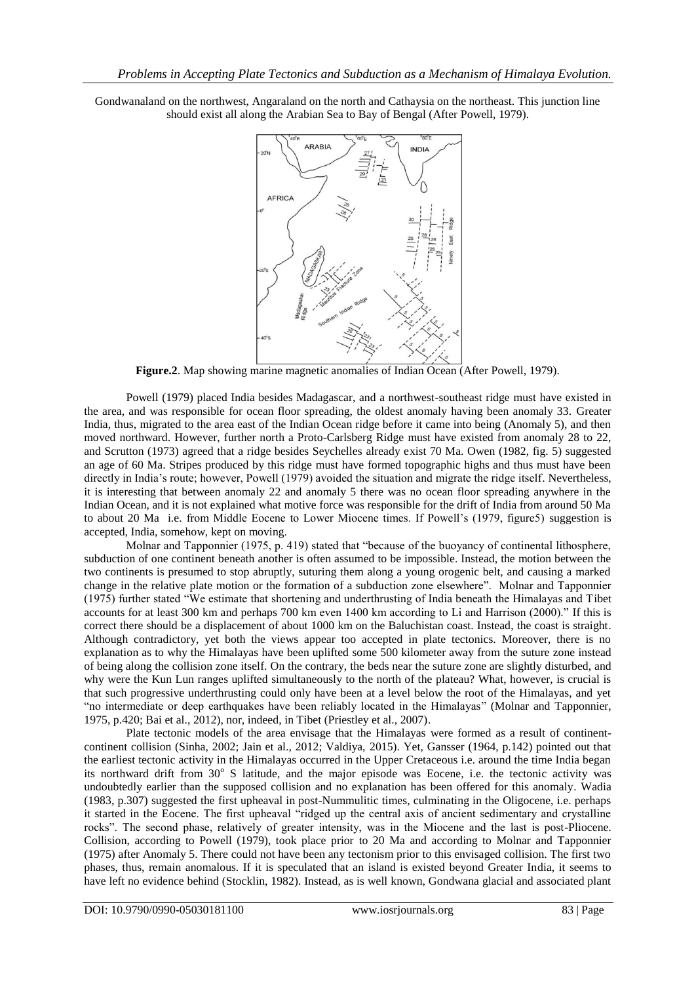ARABIA **INDIA AFRICA** 

Gondwanaland on the northwest, Angaraland on the north and Cathaysia on the northeast. This junction line should exist all along the Arabian Sea to Bay of Bengal (After Powell, 1979).

**Figure.2**. Map showing marine magnetic anomalies of Indian Ocean (After Powell, 1979).

Powell (1979) placed India besides Madagascar, and a northwest-southeast ridge must have existed in the area, and was responsible for ocean floor spreading, the oldest anomaly having been anomaly 33. Greater India, thus, migrated to the area east of the Indian Ocean ridge before it came into being (Anomaly 5), and then moved northward. However, further north a Proto-Carlsberg Ridge must have existed from anomaly 28 to 22, and Scrutton (1973) agreed that a ridge besides Seychelles already exist 70 Ma. Owen (1982, fig. 5) suggested an age of 60 Ma. Stripes produced by this ridge must have formed topographic highs and thus must have been directly in India's route; however, Powell (1979) avoided the situation and migrate the ridge itself. Nevertheless, it is interesting that between anomaly 22 and anomaly 5 there was no ocean floor spreading anywhere in the Indian Ocean, and it is not explained what motive force was responsible for the drift of India from around 50 Ma to about 20 Ma i.e. from Middle Eocene to Lower Miocene times. If Powell's (1979, figure5) suggestion is accepted, India, somehow, kept on moving.

Molnar and Tapponnier (1975, p. 419) stated that "because of the buoyancy of continental lithosphere, subduction of one continent beneath another is often assumed to be impossible. Instead, the motion between the two continents is presumed to stop abruptly, suturing them along a young orogenic belt, and causing a marked change in the relative plate motion or the formation of a subduction zone elsewhere". Molnar and Tapponnier (1975) further stated "We estimate that shortening and underthrusting of India beneath the Himalayas and Tibet accounts for at least 300 km and perhaps 700 km even 1400 km according to Li and Harrison (2000)." If this is correct there should be a displacement of about 1000 km on the Baluchistan coast. Instead, the coast is straight. Although contradictory, yet both the views appear too accepted in plate tectonics. Moreover, there is no explanation as to why the Himalayas have been uplifted some 500 kilometer away from the suture zone instead of being along the collision zone itself. On the contrary, the beds near the suture zone are slightly disturbed, and why were the Kun Lun ranges uplifted simultaneously to the north of the plateau? What, however, is crucial is that such progressive underthrusting could only have been at a level below the root of the Himalayas, and yet "no intermediate or deep earthquakes have been reliably located in the Himalayas" (Molnar and Tapponnier, 1975, p.420; Bai et al., 2012), nor, indeed, in Tibet (Priestley et al., 2007).

Plate tectonic models of the area envisage that the Himalayas were formed as a result of continentcontinent collision (Sinha, 2002; Jain et al., 2012; Valdiya, 2015). Yet, Gansser (1964, p.142) pointed out that the earliest tectonic activity in the Himalayas occurred in the Upper Cretaceous i.e. around the time India began its northward drift from 30° S latitude, and the major episode was Eocene, i.e. the tectonic activity was undoubtedly earlier than the supposed collision and no explanation has been offered for this anomaly. Wadia (1983, p.307) suggested the first upheaval in post-Nummulitic times, culminating in the Oligocene, i.e. perhaps it started in the Eocene. The first upheaval "ridged up the central axis of ancient sedimentary and crystalline rocks". The second phase, relatively of greater intensity, was in the Miocene and the last is post-Pliocene. Collision, according to Powell (1979), took place prior to 20 Ma and according to Molnar and Tapponnier (1975) after Anomaly 5. There could not have been any tectonism prior to this envisaged collision. The first two phases, thus, remain anomalous. If it is speculated that an island is existed beyond Greater India, it seems to have left no evidence behind (Stocklin, 1982). Instead, as is well known, Gondwana glacial and associated plant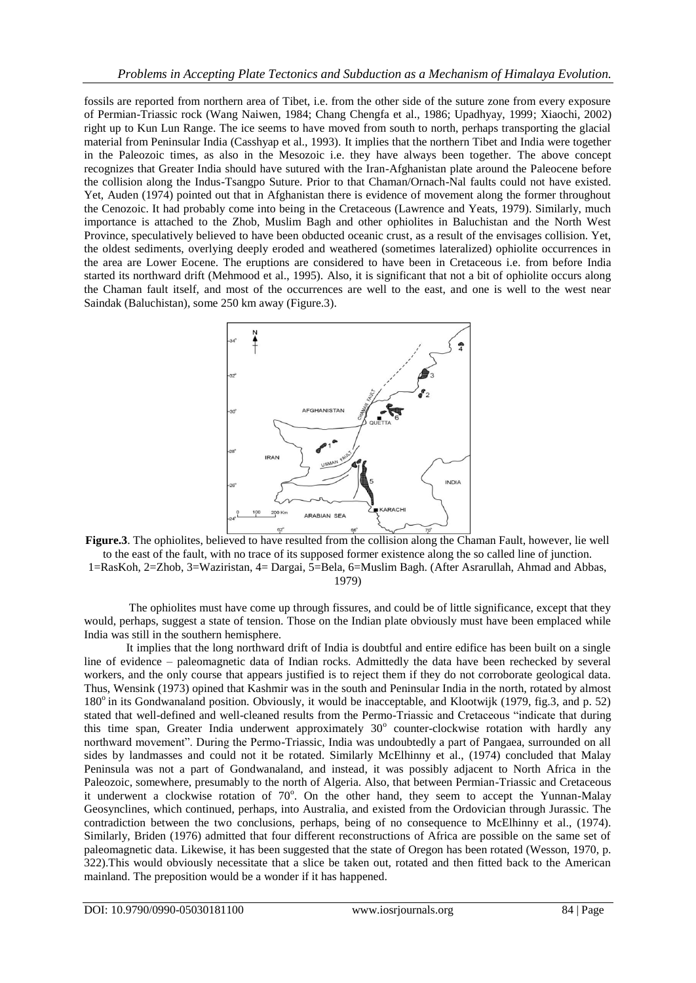fossils are reported from northern area of Tibet, i.e. from the other side of the suture zone from every exposure of Permian-Triassic rock (Wang Naiwen, 1984; Chang Chengfa et al., 1986; Upadhyay, 1999; Xiaochi, 2002) right up to Kun Lun Range. The ice seems to have moved from south to north, perhaps transporting the glacial material from Peninsular India (Casshyap et al., 1993). It implies that the northern Tibet and India were together in the Paleozoic times, as also in the Mesozoic i.e. they have always been together. The above concept recognizes that Greater India should have sutured with the Iran-Afghanistan plate around the Paleocene before the collision along the Indus-Tsangpo Suture. Prior to that Chaman/Ornach-Nal faults could not have existed. Yet, Auden (1974) pointed out that in Afghanistan there is evidence of movement along the former throughout the Cenozoic. It had probably come into being in the Cretaceous (Lawrence and Yeats, 1979). Similarly, much importance is attached to the Zhob, Muslim Bagh and other ophiolites in Baluchistan and the North West Province, speculatively believed to have been obducted oceanic crust, as a result of the envisages collision. Yet, the oldest sediments, overlying deeply eroded and weathered (sometimes lateralized) ophiolite occurrences in the area are Lower Eocene. The eruptions are considered to have been in Cretaceous i.e. from before India started its northward drift (Mehmood et al., 1995). Also, it is significant that not a bit of ophiolite occurs along the Chaman fault itself, and most of the occurrences are well to the east, and one is well to the west near Saindak (Baluchistan), some 250 km away (Figure.3).



Figure.3. The ophiolites, believed to have resulted from the collision along the Chaman Fault, however, lie well to the east of the fault, with no trace of its supposed former existence along the so called line of junction. 1=RasKoh, 2=Zhob, 3=Waziristan, 4= Dargai, 5=Bela, 6=Muslim Bagh. (After Asrarullah, Ahmad and Abbas, 1979)

The ophiolites must have come up through fissures, and could be of little significance, except that they would, perhaps, suggest a state of tension. Those on the Indian plate obviously must have been emplaced while India was still in the southern hemisphere.

It implies that the long northward drift of India is doubtful and entire edifice has been built on a single line of evidence – paleomagnetic data of Indian rocks. Admittedly the data have been rechecked by several workers, and the only course that appears justified is to reject them if they do not corroborate geological data. Thus, Wensink (1973) opined that Kashmir was in the south and Peninsular India in the north, rotated by almost 180<sup>°</sup> in its Gondwanaland position. Obviously, it would be inacceptable, and Klootwijk (1979, fig.3, and p. 52) stated that well-defined and well-cleaned results from the Permo-Triassic and Cretaceous "indicate that during this time span, Greater India underwent approximately 30° counter-clockwise rotation with hardly any northward movement". During the Permo-Triassic, India was undoubtedly a part of Pangaea, surrounded on all sides by landmasses and could not it be rotated. Similarly McElhinny et al., (1974) concluded that Malay Peninsula was not a part of Gondwanaland, and instead, it was possibly adjacent to North Africa in the Paleozoic, somewhere, presumably to the north of Algeria. Also, that between Permian-Triassic and Cretaceous it underwent a clockwise rotation of 70°. On the other hand, they seem to accept the Yunnan-Malay Geosynclines, which continued, perhaps, into Australia, and existed from the Ordovician through Jurassic. The contradiction between the two conclusions, perhaps, being of no consequence to McElhinny et al., (1974). Similarly, Briden (1976) admitted that four different reconstructions of Africa are possible on the same set of paleomagnetic data. Likewise, it has been suggested that the state of Oregon has been rotated (Wesson, 1970, p. 322).This would obviously necessitate that a slice be taken out, rotated and then fitted back to the American mainland. The preposition would be a wonder if it has happened.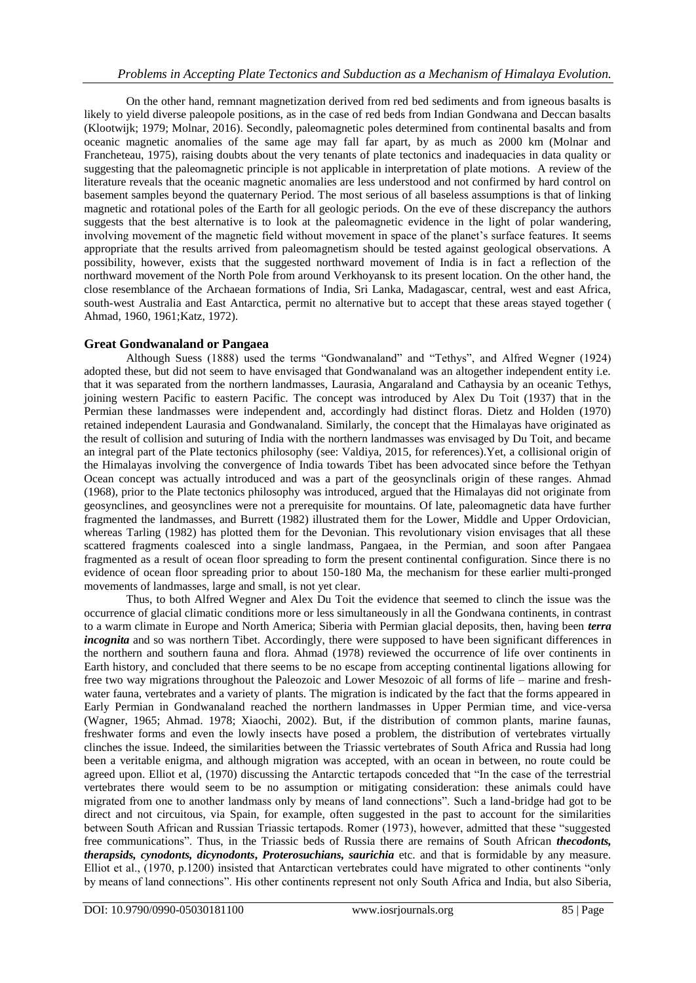On the other hand, remnant magnetization derived from red bed sediments and from igneous basalts is likely to yield diverse paleopole positions, as in the case of red beds from Indian Gondwana and Deccan basalts (Klootwijk; 1979; Molnar, 2016). Secondly, paleomagnetic poles determined from continental basalts and from oceanic magnetic anomalies of the same age may fall far apart, by as much as 2000 km (Molnar and Francheteau, 1975), raising doubts about the very tenants of plate tectonics and inadequacies in data quality or suggesting that the paleomagnetic principle is not applicable in interpretation of plate motions. A review of the literature reveals that the oceanic magnetic anomalies are less understood and not confirmed by hard control on basement samples beyond the quaternary Period. The most serious of all baseless assumptions is that of linking magnetic and rotational poles of the Earth for all geologic periods. On the eve of these discrepancy the authors suggests that the best alternative is to look at the paleomagnetic evidence in the light of polar wandering, involving movement of the magnetic field without movement in space of the planet's surface features. It seems appropriate that the results arrived from paleomagnetism should be tested against geological observations. A possibility, however, exists that the suggested northward movement of India is in fact a reflection of the northward movement of the North Pole from around Verkhoyansk to its present location. On the other hand, the close resemblance of the Archaean formations of India, Sri Lanka, Madagascar, central, west and east Africa, south-west Australia and East Antarctica, permit no alternative but to accept that these areas stayed together ( Ahmad, 1960, 1961;Katz, 1972).

# **Great Gondwanaland or Pangaea**

Although Suess (1888) used the terms "Gondwanaland" and "Tethys", and Alfred Wegner (1924) adopted these, but did not seem to have envisaged that Gondwanaland was an altogether independent entity i.e. that it was separated from the northern landmasses, Laurasia, Angaraland and Cathaysia by an oceanic Tethys, joining western Pacific to eastern Pacific. The concept was introduced by Alex Du Toit (1937) that in the Permian these landmasses were independent and, accordingly had distinct floras. Dietz and Holden (1970) retained independent Laurasia and Gondwanaland. Similarly, the concept that the Himalayas have originated as the result of collision and suturing of India with the northern landmasses was envisaged by Du Toit, and became an integral part of the Plate tectonics philosophy (see: Valdiya, 2015, for references).Yet, a collisional origin of the Himalayas involving the convergence of India towards Tibet has been advocated since before the Tethyan Ocean concept was actually introduced and was a part of the geosynclinals origin of these ranges. Ahmad (1968), prior to the Plate tectonics philosophy was introduced, argued that the Himalayas did not originate from geosynclines, and geosynclines were not a prerequisite for mountains. Of late, paleomagnetic data have further fragmented the landmasses, and Burrett (1982) illustrated them for the Lower, Middle and Upper Ordovician, whereas Tarling (1982) has plotted them for the Devonian. This revolutionary vision envisages that all these scattered fragments coalesced into a single landmass, Pangaea, in the Permian, and soon after Pangaea fragmented as a result of ocean floor spreading to form the present continental configuration. Since there is no evidence of ocean floor spreading prior to about 150-180 Ma, the mechanism for these earlier multi-pronged movements of landmasses, large and small, is not yet clear.

Thus, to both Alfred Wegner and Alex Du Toit the evidence that seemed to clinch the issue was the occurrence of glacial climatic conditions more or less simultaneously in all the Gondwana continents, in contrast to a warm climate in Europe and North America; Siberia with Permian glacial deposits, then, having been *terra incognita* and so was northern Tibet. Accordingly, there were supposed to have been significant differences in the northern and southern fauna and flora. Ahmad (1978) reviewed the occurrence of life over continents in Earth history, and concluded that there seems to be no escape from accepting continental ligations allowing for free two way migrations throughout the Paleozoic and Lower Mesozoic of all forms of life – marine and freshwater fauna, vertebrates and a variety of plants. The migration is indicated by the fact that the forms appeared in Early Permian in Gondwanaland reached the northern landmasses in Upper Permian time, and vice-versa (Wagner, 1965; Ahmad. 1978; Xiaochi, 2002). But, if the distribution of common plants, marine faunas, freshwater forms and even the lowly insects have posed a problem, the distribution of vertebrates virtually clinches the issue. Indeed, the similarities between the Triassic vertebrates of South Africa and Russia had long been a veritable enigma, and although migration was accepted, with an ocean in between, no route could be agreed upon. Elliot et al, (1970) discussing the Antarctic tertapods conceded that "In the case of the terrestrial vertebrates there would seem to be no assumption or mitigating consideration: these animals could have migrated from one to another landmass only by means of land connections". Such a land-bridge had got to be direct and not circuitous, via Spain, for example, often suggested in the past to account for the similarities between South African and Russian Triassic tertapods. Romer (1973), however, admitted that these "suggested free communications". Thus, in the Triassic beds of Russia there are remains of South African *thecodonts, therapsids, cynodonts, dicynodonts***,** *Proterosuchians, saurichia* etc. and that is formidable by any measure. Elliot et al., (1970, p.1200) insisted that Antarctican vertebrates could have migrated to other continents "only by means of land connections". His other continents represent not only South Africa and India, but also Siberia,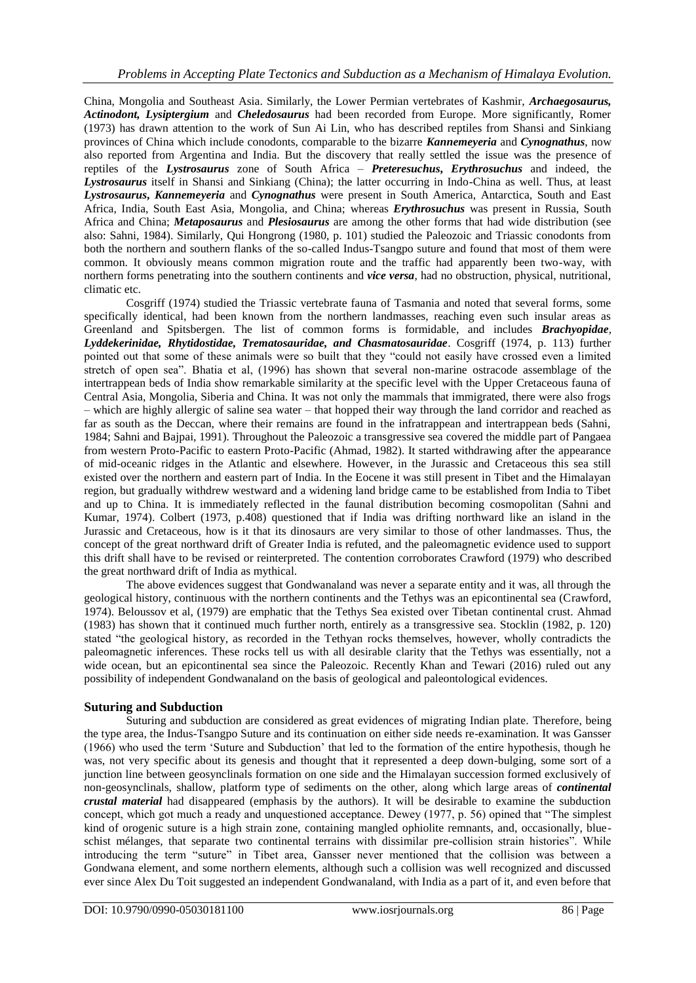China, Mongolia and Southeast Asia. Similarly, the Lower Permian vertebrates of Kashmir, *Archaegosaurus, Actinodont, Lysiptergium* and *Cheledosaurus* had been recorded from Europe. More significantly, Romer (1973) has drawn attention to the work of Sun Ai Lin, who has described reptiles from Shansi and Sinkiang provinces of China which include conodonts, comparable to the bizarre *Kannemeyeria* and *Cynognathus*, now also reported from Argentina and India. But the discovery that really settled the issue was the presence of reptiles of the *Lystrosaurus* zone of South Africa – *Preteresuchus***,** *Erythrosuchus* and indeed, the *Lystrosaurus* itself in Shansi and Sinkiang (China); the latter occurring in Indo-China as well. Thus, at least *Lystrosaurus***,** *Kannemeyeria* and *Cynognathus* were present in South America, Antarctica, South and East Africa, India, South East Asia, Mongolia, and China; whereas *Erythrosuchus* was present in Russia, South Africa and China; *Metaposaurus* and *Plesiosaurus* are among the other forms that had wide distribution (see also: Sahni, 1984). Similarly, Qui Hongrong (1980, p. 101) studied the Paleozoic and Triassic conodonts from both the northern and southern flanks of the so-called Indus-Tsangpo suture and found that most of them were common. It obviously means common migration route and the traffic had apparently been two-way, with northern forms penetrating into the southern continents and *vice versa*, had no obstruction, physical, nutritional, climatic etc.

Cosgriff (1974) studied the Triassic vertebrate fauna of Tasmania and noted that several forms, some specifically identical, had been known from the northern landmasses, reaching even such insular areas as Greenland and Spitsbergen. The list of common forms is formidable, and includes *Brachyopidae, Lyddekerinidae, Rhytidostidae, Trematosauridae, and Chasmatosauridae*. Cosgriff (1974, p. 113) further pointed out that some of these animals were so built that they "could not easily have crossed even a limited stretch of open sea". Bhatia et al, (1996) has shown that several non-marine ostracode assemblage of the intertrappean beds of India show remarkable similarity at the specific level with the Upper Cretaceous fauna of Central Asia, Mongolia, Siberia and China. It was not only the mammals that immigrated, there were also frogs – which are highly allergic of saline sea water – that hopped their way through the land corridor and reached as far as south as the Deccan, where their remains are found in the infratrappean and intertrappean beds (Sahni, 1984; Sahni and Bajpai, 1991). Throughout the Paleozoic a transgressive sea covered the middle part of Pangaea from western Proto-Pacific to eastern Proto-Pacific (Ahmad, 1982). It started withdrawing after the appearance of mid-oceanic ridges in the Atlantic and elsewhere. However, in the Jurassic and Cretaceous this sea still existed over the northern and eastern part of India. In the Eocene it was still present in Tibet and the Himalayan region, but gradually withdrew westward and a widening land bridge came to be established from India to Tibet and up to China. It is immediately reflected in the faunal distribution becoming cosmopolitan (Sahni and Kumar, 1974). Colbert (1973, p.408) questioned that if India was drifting northward like an island in the Jurassic and Cretaceous, how is it that its dinosaurs are very similar to those of other landmasses. Thus, the concept of the great northward drift of Greater India is refuted, and the paleomagnetic evidence used to support this drift shall have to be revised or reinterpreted. The contention corroborates Crawford (1979) who described the great northward drift of India as mythical.

The above evidences suggest that Gondwanaland was never a separate entity and it was, all through the geological history, continuous with the northern continents and the Tethys was an epicontinental sea (Crawford, 1974). Beloussov et al, (1979) are emphatic that the Tethys Sea existed over Tibetan continental crust. Ahmad (1983) has shown that it continued much further north, entirely as a transgressive sea. Stocklin (1982, p. 120) stated "the geological history, as recorded in the Tethyan rocks themselves, however, wholly contradicts the paleomagnetic inferences. These rocks tell us with all desirable clarity that the Tethys was essentially, not a wide ocean, but an epicontinental sea since the Paleozoic. Recently Khan and Tewari (2016) ruled out any possibility of independent Gondwanaland on the basis of geological and paleontological evidences.

### **Suturing and Subduction**

Suturing and subduction are considered as great evidences of migrating Indian plate. Therefore, being the type area, the Indus-Tsangpo Suture and its continuation on either side needs re-examination. It was Gansser (1966) who used the term 'Suture and Subduction' that led to the formation of the entire hypothesis, though he was, not very specific about its genesis and thought that it represented a deep down-bulging, some sort of a junction line between geosynclinals formation on one side and the Himalayan succession formed exclusively of non-geosynclinals, shallow, platform type of sediments on the other, along which large areas of *continental crustal material* had disappeared (emphasis by the authors). It will be desirable to examine the subduction concept, which got much a ready and unquestioned acceptance. Dewey (1977, p. 56) opined that "The simplest kind of orogenic suture is a high strain zone, containing mangled ophiolite remnants, and, occasionally, blueschist mélanges, that separate two continental terrains with dissimilar pre-collision strain histories". While introducing the term "suture" in Tibet area, Gansser never mentioned that the collision was between a Gondwana element, and some northern elements, although such a collision was well recognized and discussed ever since Alex Du Toit suggested an independent Gondwanaland, with India as a part of it, and even before that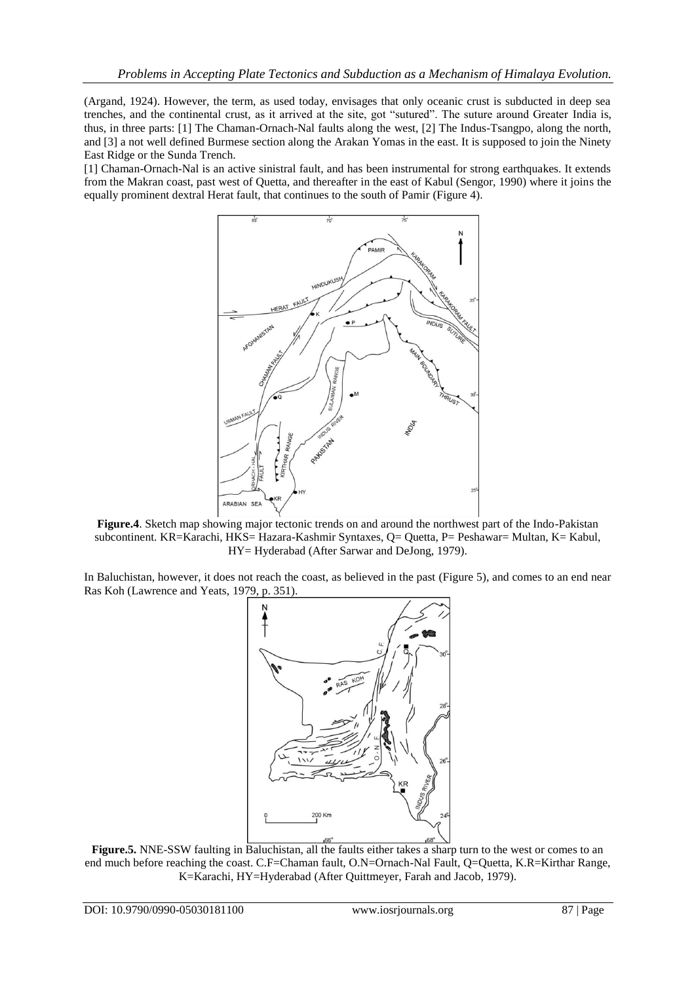(Argand, 1924). However, the term, as used today, envisages that only oceanic crust is subducted in deep sea trenches, and the continental crust, as it arrived at the site, got "sutured". The suture around Greater India is, thus, in three parts: [1] The Chaman-Ornach-Nal faults along the west, [2] The Indus-Tsangpo, along the north, and [3] a not well defined Burmese section along the Arakan Yomas in the east. It is supposed to join the Ninety East Ridge or the Sunda Trench.

[1] Chaman-Ornach-Nal is an active sinistral fault, and has been instrumental for strong earthquakes. It extends from the Makran coast, past west of Quetta, and thereafter in the east of Kabul (Sengor, 1990) where it joins the equally prominent dextral Herat fault, that continues to the south of Pamir (Figure 4).



**Figure.4**. Sketch map showing major tectonic trends on and around the northwest part of the Indo-Pakistan subcontinent. KR=Karachi, HKS= Hazara-Kashmir Syntaxes, Q= Quetta, P= Peshawar= Multan, K= Kabul, HY= Hyderabad (After Sarwar and DeJong, 1979).

In Baluchistan, however, it does not reach the coast, as believed in the past (Figure 5), and comes to an end near Ras Koh (Lawrence and Yeats, 1979, p. 351).



**Figure.5.** NNE-SSW faulting in Baluchistan, all the faults either takes a sharp turn to the west or comes to an end much before reaching the coast. C.F=Chaman fault, O.N=Ornach-Nal Fault, Q=Quetta, K.R=Kirthar Range, K=Karachi, HY=Hyderabad (After Quittmeyer, Farah and Jacob, 1979).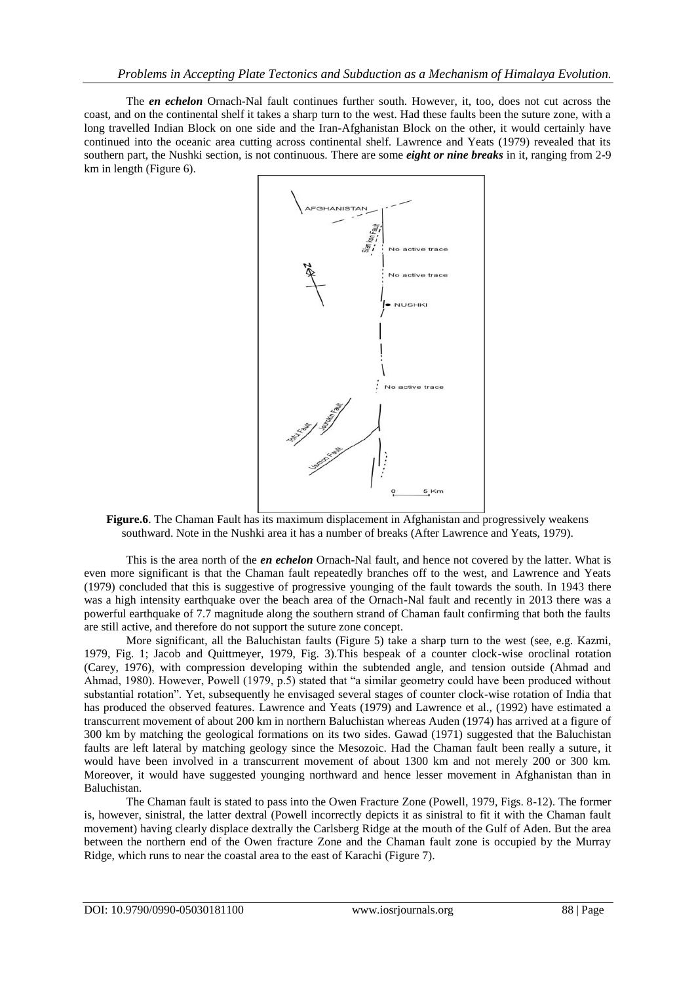The *en echelon* Ornach-Nal fault continues further south. However, it, too, does not cut across the coast, and on the continental shelf it takes a sharp turn to the west. Had these faults been the suture zone, with a long travelled Indian Block on one side and the Iran-Afghanistan Block on the other, it would certainly have continued into the oceanic area cutting across continental shelf. Lawrence and Yeats (1979) revealed that its southern part, the Nushki section, is not continuous. There are some *eight or nine breaks* in it, ranging from 2-9 km in length (Figure 6).



**Figure.6**. The Chaman Fault has its maximum displacement in Afghanistan and progressively weakens southward. Note in the Nushki area it has a number of breaks (After Lawrence and Yeats, 1979).

This is the area north of the *en echelon* Ornach-Nal fault, and hence not covered by the latter. What is even more significant is that the Chaman fault repeatedly branches off to the west, and Lawrence and Yeats (1979) concluded that this is suggestive of progressive younging of the fault towards the south. In 1943 there was a high intensity earthquake over the beach area of the Ornach-Nal fault and recently in 2013 there was a powerful earthquake of 7.7 magnitude along the southern strand of Chaman fault confirming that both the faults are still active, and therefore do not support the suture zone concept.

More significant, all the Baluchistan faults (Figure 5) take a sharp turn to the west (see, e.g. Kazmi, 1979, Fig. 1; Jacob and Quittmeyer, 1979, Fig. 3).This bespeak of a counter clock-wise oroclinal rotation (Carey, 1976), with compression developing within the subtended angle, and tension outside (Ahmad and Ahmad, 1980). However, Powell (1979, p.5) stated that "a similar geometry could have been produced without substantial rotation". Yet, subsequently he envisaged several stages of counter clock-wise rotation of India that has produced the observed features. Lawrence and Yeats (1979) and Lawrence et al., (1992) have estimated a transcurrent movement of about 200 km in northern Baluchistan whereas Auden (1974) has arrived at a figure of 300 km by matching the geological formations on its two sides. Gawad (1971) suggested that the Baluchistan faults are left lateral by matching geology since the Mesozoic. Had the Chaman fault been really a suture, it would have been involved in a transcurrent movement of about 1300 km and not merely 200 or 300 km. Moreover, it would have suggested younging northward and hence lesser movement in Afghanistan than in Baluchistan.

The Chaman fault is stated to pass into the Owen Fracture Zone (Powell, 1979, Figs. 8-12). The former is, however, sinistral, the latter dextral (Powell incorrectly depicts it as sinistral to fit it with the Chaman fault movement) having clearly displace dextrally the Carlsberg Ridge at the mouth of the Gulf of Aden. But the area between the northern end of the Owen fracture Zone and the Chaman fault zone is occupied by the Murray Ridge, which runs to near the coastal area to the east of Karachi (Figure 7).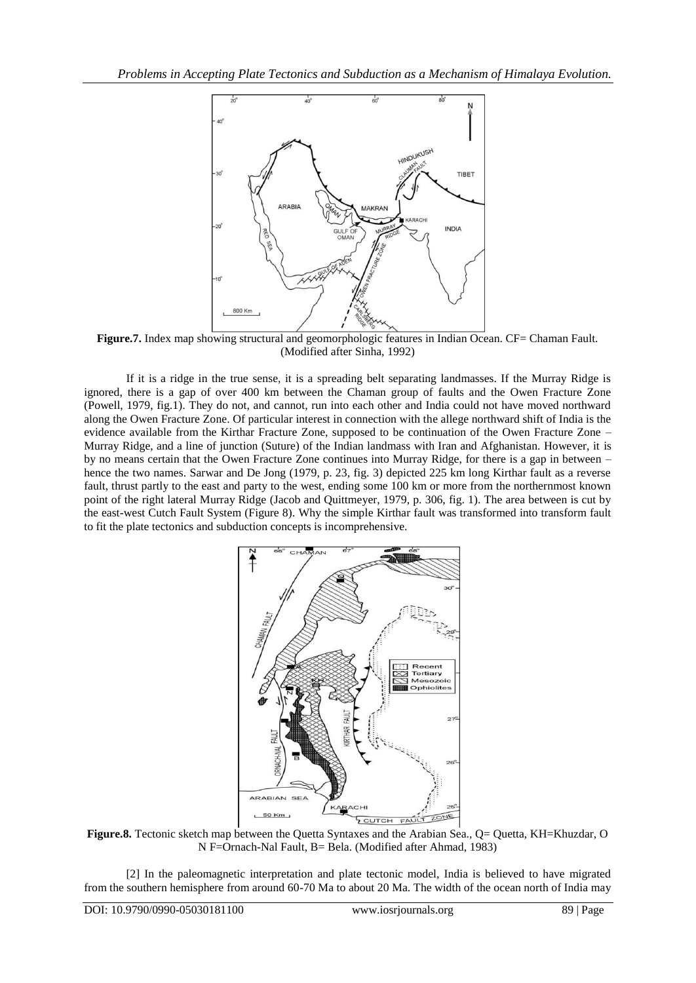

Figure.7. Index map showing structural and geomorphologic features in Indian Ocean. CF= Chaman Fault. (Modified after Sinha, 1992)

If it is a ridge in the true sense, it is a spreading belt separating landmasses. If the Murray Ridge is ignored, there is a gap of over 400 km between the Chaman group of faults and the Owen Fracture Zone (Powell, 1979, fig.1). They do not, and cannot, run into each other and India could not have moved northward along the Owen Fracture Zone. Of particular interest in connection with the allege northward shift of India is the evidence available from the Kirthar Fracture Zone, supposed to be continuation of the Owen Fracture Zone – Murray Ridge, and a line of junction (Suture) of the Indian landmass with Iran and Afghanistan. However, it is by no means certain that the Owen Fracture Zone continues into Murray Ridge, for there is a gap in between – hence the two names. Sarwar and De Jong (1979, p. 23, fig. 3) depicted 225 km long Kirthar fault as a reverse fault, thrust partly to the east and party to the west, ending some 100 km or more from the northernmost known point of the right lateral Murray Ridge (Jacob and Quittmeyer, 1979, p. 306, fig. 1). The area between is cut by the east-west Cutch Fault System (Figure 8). Why the simple Kirthar fault was transformed into transform fault to fit the plate tectonics and subduction concepts is incomprehensive.



**Figure.8.** Tectonic sketch map between the Quetta Syntaxes and the Arabian Sea., Q= Quetta, KH=Khuzdar, O N F=Ornach-Nal Fault, B= Bela. (Modified after Ahmad, 1983)

[2] In the paleomagnetic interpretation and plate tectonic model, India is believed to have migrated from the southern hemisphere from around 60-70 Ma to about 20 Ma. The width of the ocean north of India may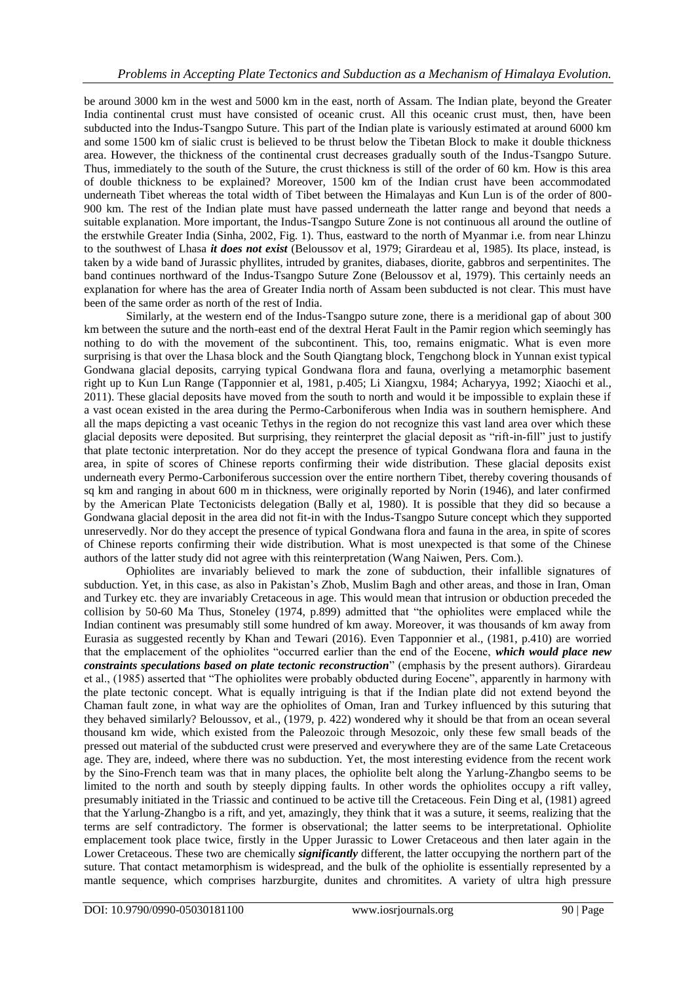be around 3000 km in the west and 5000 km in the east, north of Assam. The Indian plate, beyond the Greater India continental crust must have consisted of oceanic crust. All this oceanic crust must, then, have been subducted into the Indus-Tsangpo Suture. This part of the Indian plate is variously estimated at around 6000 km and some 1500 km of sialic crust is believed to be thrust below the Tibetan Block to make it double thickness area. However, the thickness of the continental crust decreases gradually south of the Indus-Tsangpo Suture. Thus, immediately to the south of the Suture, the crust thickness is still of the order of 60 km. How is this area of double thickness to be explained? Moreover, 1500 km of the Indian crust have been accommodated underneath Tibet whereas the total width of Tibet between the Himalayas and Kun Lun is of the order of 800- 900 km. The rest of the Indian plate must have passed underneath the latter range and beyond that needs a suitable explanation. More important, the Indus-Tsangpo Suture Zone is not continuous all around the outline of the erstwhile Greater India (Sinha, 2002, Fig. 1). Thus, eastward to the north of Myanmar i.e. from near Lhinzu to the southwest of Lhasa *it does not exist* (Beloussov et al, 1979; Girardeau et al, 1985). Its place, instead, is taken by a wide band of Jurassic phyllites, intruded by granites, diabases, diorite, gabbros and serpentinites. The band continues northward of the Indus-Tsangpo Suture Zone (Beloussov et al, 1979). This certainly needs an explanation for where has the area of Greater India north of Assam been subducted is not clear. This must have been of the same order as north of the rest of India.

Similarly, at the western end of the Indus-Tsangpo suture zone, there is a meridional gap of about 300 km between the suture and the north-east end of the dextral Herat Fault in the Pamir region which seemingly has nothing to do with the movement of the subcontinent. This, too, remains enigmatic. What is even more surprising is that over the Lhasa block and the South Qiangtang block, Tengchong block in Yunnan exist typical Gondwana glacial deposits, carrying typical Gondwana flora and fauna, overlying a metamorphic basement right up to Kun Lun Range (Tapponnier et al, 1981, p.405; Li Xiangxu, 1984; Acharyya, 1992; Xiaochi et al., 2011). These glacial deposits have moved from the south to north and would it be impossible to explain these if a vast ocean existed in the area during the Permo-Carboniferous when India was in southern hemisphere. And all the maps depicting a vast oceanic Tethys in the region do not recognize this vast land area over which these glacial deposits were deposited. But surprising, they reinterpret the glacial deposit as "rift-in-fill" just to justify that plate tectonic interpretation. Nor do they accept the presence of typical Gondwana flora and fauna in the area, in spite of scores of Chinese reports confirming their wide distribution. These glacial deposits exist underneath every Permo-Carboniferous succession over the entire northern Tibet, thereby covering thousands of sq km and ranging in about 600 m in thickness, were originally reported by Norin (1946), and later confirmed by the American Plate Tectonicists delegation (Bally et al, 1980). It is possible that they did so because a Gondwana glacial deposit in the area did not fit-in with the Indus-Tsangpo Suture concept which they supported unreservedly. Nor do they accept the presence of typical Gondwana flora and fauna in the area, in spite of scores of Chinese reports confirming their wide distribution. What is most unexpected is that some of the Chinese authors of the latter study did not agree with this reinterpretation (Wang Naiwen, Pers. Com.).

Ophiolites are invariably believed to mark the zone of subduction, their infallible signatures of subduction. Yet, in this case, as also in Pakistan's Zhob, Muslim Bagh and other areas, and those in Iran, Oman and Turkey etc. they are invariably Cretaceous in age. This would mean that intrusion or obduction preceded the collision by 50-60 Ma Thus, Stoneley (1974, p.899) admitted that "the ophiolites were emplaced while the Indian continent was presumably still some hundred of km away. Moreover, it was thousands of km away from Eurasia as suggested recently by Khan and Tewari (2016). Even Tapponnier et al., (1981, p.410) are worried that the emplacement of the ophiolites "occurred earlier than the end of the Eocene, *which would place new constraints speculations based on plate tectonic reconstruction*" (emphasis by the present authors). Girardeau et al., (1985) asserted that "The ophiolites were probably obducted during Eocene", apparently in harmony with the plate tectonic concept. What is equally intriguing is that if the Indian plate did not extend beyond the Chaman fault zone, in what way are the ophiolites of Oman, Iran and Turkey influenced by this suturing that they behaved similarly? Beloussov, et al., (1979, p. 422) wondered why it should be that from an ocean several thousand km wide, which existed from the Paleozoic through Mesozoic, only these few small beads of the pressed out material of the subducted crust were preserved and everywhere they are of the same Late Cretaceous age. They are, indeed, where there was no subduction. Yet, the most interesting evidence from the recent work by the Sino-French team was that in many places, the ophiolite belt along the Yarlung-Zhangbo seems to be limited to the north and south by steeply dipping faults. In other words the ophiolites occupy a rift valley, presumably initiated in the Triassic and continued to be active till the Cretaceous. Fein Ding et al, (1981) agreed that the Yarlung-Zhangbo is a rift, and yet, amazingly, they think that it was a suture, it seems, realizing that the terms are self contradictory. The former is observational; the latter seems to be interpretational. Ophiolite emplacement took place twice, firstly in the Upper Jurassic to Lower Cretaceous and then later again in the Lower Cretaceous. These two are chemically *significantly* different, the latter occupying the northern part of the suture. That contact metamorphism is widespread, and the bulk of the ophiolite is essentially represented by a mantle sequence, which comprises harzburgite, dunites and chromitites. A variety of ultra high pressure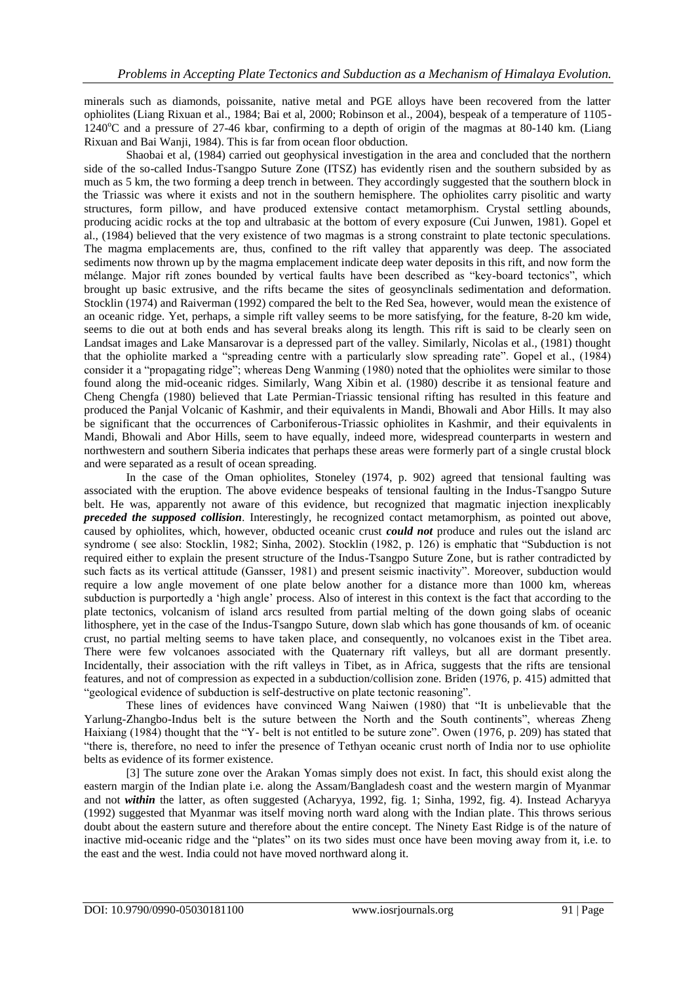minerals such as diamonds, poissanite, native metal and PGE alloys have been recovered from the latter ophiolites (Liang Rixuan et al., 1984; Bai et al, 2000; Robinson et al., 2004), bespeak of a temperature of 1105-  $1240^{\circ}$ C and a pressure of 27-46 kbar, confirming to a depth of origin of the magmas at 80-140 km. (Liang Rixuan and Bai Wanji, 1984). This is far from ocean floor obduction.

Shaobai et al, (1984) carried out geophysical investigation in the area and concluded that the northern side of the so-called Indus-Tsangpo Suture Zone (ITSZ) has evidently risen and the southern subsided by as much as 5 km, the two forming a deep trench in between. They accordingly suggested that the southern block in the Triassic was where it exists and not in the southern hemisphere. The ophiolites carry pisolitic and warty structures, form pillow, and have produced extensive contact metamorphism. Crystal settling abounds, producing acidic rocks at the top and ultrabasic at the bottom of every exposure (Cui Junwen, 1981). Gopel et al., (1984) believed that the very existence of two magmas is a strong constraint to plate tectonic speculations. The magma emplacements are, thus, confined to the rift valley that apparently was deep. The associated sediments now thrown up by the magma emplacement indicate deep water deposits in this rift, and now form the mélange. Major rift zones bounded by vertical faults have been described as "key-board tectonics", which brought up basic extrusive, and the rifts became the sites of geosynclinals sedimentation and deformation. Stocklin (1974) and Raiverman (1992) compared the belt to the Red Sea, however, would mean the existence of an oceanic ridge. Yet, perhaps, a simple rift valley seems to be more satisfying, for the feature, 8-20 km wide, seems to die out at both ends and has several breaks along its length. This rift is said to be clearly seen on Landsat images and Lake Mansarovar is a depressed part of the valley. Similarly, Nicolas et al., (1981) thought that the ophiolite marked a "spreading centre with a particularly slow spreading rate". Gopel et al., (1984) consider it a "propagating ridge"; whereas Deng Wanming (1980) noted that the ophiolites were similar to those found along the mid-oceanic ridges. Similarly, Wang Xibin et al. (1980) describe it as tensional feature and Cheng Chengfa (1980) believed that Late Permian-Triassic tensional rifting has resulted in this feature and produced the Panjal Volcanic of Kashmir, and their equivalents in Mandi, Bhowali and Abor Hills. It may also be significant that the occurrences of Carboniferous-Triassic ophiolites in Kashmir, and their equivalents in Mandi, Bhowali and Abor Hills, seem to have equally, indeed more, widespread counterparts in western and northwestern and southern Siberia indicates that perhaps these areas were formerly part of a single crustal block and were separated as a result of ocean spreading.

In the case of the Oman ophiolites, Stoneley (1974, p. 902) agreed that tensional faulting was associated with the eruption. The above evidence bespeaks of tensional faulting in the Indus-Tsangpo Suture belt. He was, apparently not aware of this evidence, but recognized that magmatic injection inexplicably *preceded the supposed collision*. Interestingly, he recognized contact metamorphism, as pointed out above, caused by ophiolites, which, however, obducted oceanic crust *could not* produce and rules out the island arc syndrome ( see also: Stocklin, 1982; Sinha, 2002). Stocklin (1982, p. 126) is emphatic that "Subduction is not required either to explain the present structure of the Indus-Tsangpo Suture Zone, but is rather contradicted by such facts as its vertical attitude (Gansser, 1981) and present seismic inactivity". Moreover, subduction would require a low angle movement of one plate below another for a distance more than 1000 km, whereas subduction is purportedly a 'high angle' process. Also of interest in this context is the fact that according to the plate tectonics, volcanism of island arcs resulted from partial melting of the down going slabs of oceanic lithosphere, yet in the case of the Indus-Tsangpo Suture, down slab which has gone thousands of km. of oceanic crust, no partial melting seems to have taken place, and consequently, no volcanoes exist in the Tibet area. There were few volcanoes associated with the Quaternary rift valleys, but all are dormant presently. Incidentally, their association with the rift valleys in Tibet, as in Africa, suggests that the rifts are tensional features, and not of compression as expected in a subduction/collision zone. Briden (1976, p. 415) admitted that "geological evidence of subduction is self-destructive on plate tectonic reasoning".

These lines of evidences have convinced Wang Naiwen (1980) that "It is unbelievable that the Yarlung-Zhangbo-Indus belt is the suture between the North and the South continents", whereas Zheng Haixiang (1984) thought that the "Y- belt is not entitled to be suture zone". Owen (1976, p. 209) has stated that "there is, therefore, no need to infer the presence of Tethyan oceanic crust north of India nor to use ophiolite belts as evidence of its former existence.

[3] The suture zone over the Arakan Yomas simply does not exist. In fact, this should exist along the eastern margin of the Indian plate i.e. along the Assam/Bangladesh coast and the western margin of Myanmar and not *within* the latter, as often suggested (Acharyya, 1992, fig. 1; Sinha, 1992, fig. 4). Instead Acharyya (1992) suggested that Myanmar was itself moving north ward along with the Indian plate. This throws serious doubt about the eastern suture and therefore about the entire concept. The Ninety East Ridge is of the nature of inactive mid-oceanic ridge and the "plates" on its two sides must once have been moving away from it, i.e. to the east and the west. India could not have moved northward along it.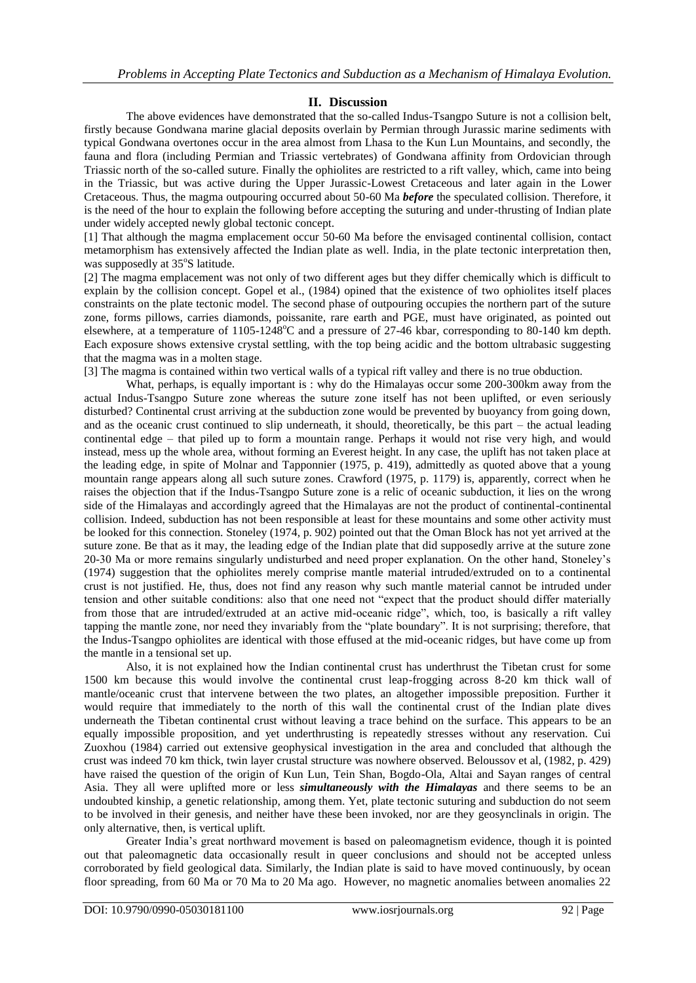# **II. Discussion**

The above evidences have demonstrated that the so-called Indus-Tsangpo Suture is not a collision belt, firstly because Gondwana marine glacial deposits overlain by Permian through Jurassic marine sediments with typical Gondwana overtones occur in the area almost from Lhasa to the Kun Lun Mountains, and secondly, the fauna and flora (including Permian and Triassic vertebrates) of Gondwana affinity from Ordovician through Triassic north of the so-called suture. Finally the ophiolites are restricted to a rift valley, which, came into being in the Triassic, but was active during the Upper Jurassic-Lowest Cretaceous and later again in the Lower Cretaceous. Thus, the magma outpouring occurred about 50-60 Ma *before* the speculated collision. Therefore, it is the need of the hour to explain the following before accepting the suturing and under-thrusting of Indian plate under widely accepted newly global tectonic concept.

[1] That although the magma emplacement occur 50-60 Ma before the envisaged continental collision, contact metamorphism has extensively affected the Indian plate as well. India, in the plate tectonic interpretation then, was supposedly at 35°S latitude.

[2] The magma emplacement was not only of two different ages but they differ chemically which is difficult to explain by the collision concept. Gopel et al., (1984) opined that the existence of two ophiolites itself places constraints on the plate tectonic model. The second phase of outpouring occupies the northern part of the suture zone, forms pillows, carries diamonds, poissanite, rare earth and PGE, must have originated, as pointed out elsewhere, at a temperature of  $1105-1248^{\circ}$ C and a pressure of 27-46 kbar, corresponding to 80-140 km depth. Each exposure shows extensive crystal settling, with the top being acidic and the bottom ultrabasic suggesting that the magma was in a molten stage.

[3] The magma is contained within two vertical walls of a typical rift valley and there is no true obduction.

 What, perhaps, is equally important is : why do the Himalayas occur some 200-300km away from the actual Indus-Tsangpo Suture zone whereas the suture zone itself has not been uplifted, or even seriously disturbed? Continental crust arriving at the subduction zone would be prevented by buoyancy from going down, and as the oceanic crust continued to slip underneath, it should, theoretically, be this part – the actual leading continental edge – that piled up to form a mountain range. Perhaps it would not rise very high, and would instead, mess up the whole area, without forming an Everest height. In any case, the uplift has not taken place at the leading edge, in spite of Molnar and Tapponnier (1975, p. 419), admittedly as quoted above that a young mountain range appears along all such suture zones. Crawford (1975, p. 1179) is, apparently, correct when he raises the objection that if the Indus-Tsangpo Suture zone is a relic of oceanic subduction, it lies on the wrong side of the Himalayas and accordingly agreed that the Himalayas are not the product of continental-continental collision. Indeed, subduction has not been responsible at least for these mountains and some other activity must be looked for this connection. Stoneley (1974, p. 902) pointed out that the Oman Block has not yet arrived at the suture zone. Be that as it may, the leading edge of the Indian plate that did supposedly arrive at the suture zone 20-30 Ma or more remains singularly undisturbed and need proper explanation. On the other hand, Stoneley's (1974) suggestion that the ophiolites merely comprise mantle material intruded/extruded on to a continental crust is not justified. He, thus, does not find any reason why such mantle material cannot be intruded under tension and other suitable conditions: also that one need not "expect that the product should differ materially from those that are intruded/extruded at an active mid-oceanic ridge", which, too, is basically a rift valley tapping the mantle zone, nor need they invariably from the "plate boundary". It is not surprising; therefore, that the Indus-Tsangpo ophiolites are identical with those effused at the mid-oceanic ridges, but have come up from the mantle in a tensional set up.

Also, it is not explained how the Indian continental crust has underthrust the Tibetan crust for some 1500 km because this would involve the continental crust leap-frogging across 8-20 km thick wall of mantle/oceanic crust that intervene between the two plates, an altogether impossible preposition. Further it would require that immediately to the north of this wall the continental crust of the Indian plate dives underneath the Tibetan continental crust without leaving a trace behind on the surface. This appears to be an equally impossible proposition, and yet underthrusting is repeatedly stresses without any reservation. Cui Zuoxhou (1984) carried out extensive geophysical investigation in the area and concluded that although the crust was indeed 70 km thick, twin layer crustal structure was nowhere observed. Beloussov et al, (1982, p. 429) have raised the question of the origin of Kun Lun, Tein Shan, Bogdo-Ola, Altai and Sayan ranges of central Asia. They all were uplifted more or less *simultaneously with the Himalayas* and there seems to be an undoubted kinship, a genetic relationship, among them. Yet, plate tectonic suturing and subduction do not seem to be involved in their genesis, and neither have these been invoked, nor are they geosynclinals in origin. The only alternative, then, is vertical uplift.

Greater India's great northward movement is based on paleomagnetism evidence, though it is pointed out that paleomagnetic data occasionally result in queer conclusions and should not be accepted unless corroborated by field geological data. Similarly, the Indian plate is said to have moved continuously, by ocean floor spreading, from 60 Ma or 70 Ma to 20 Ma ago. However, no magnetic anomalies between anomalies 22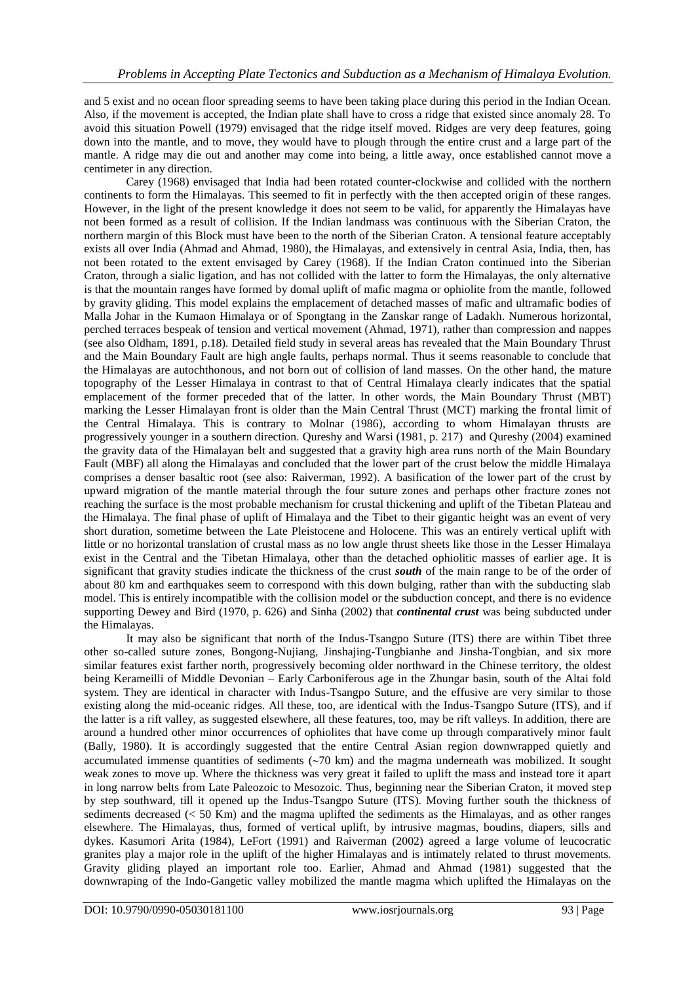and 5 exist and no ocean floor spreading seems to have been taking place during this period in the Indian Ocean. Also, if the movement is accepted, the Indian plate shall have to cross a ridge that existed since anomaly 28. To avoid this situation Powell (1979) envisaged that the ridge itself moved. Ridges are very deep features, going down into the mantle, and to move, they would have to plough through the entire crust and a large part of the mantle. A ridge may die out and another may come into being, a little away, once established cannot move a centimeter in any direction.

Carey (1968) envisaged that India had been rotated counter-clockwise and collided with the northern continents to form the Himalayas. This seemed to fit in perfectly with the then accepted origin of these ranges. However, in the light of the present knowledge it does not seem to be valid, for apparently the Himalayas have not been formed as a result of collision. If the Indian landmass was continuous with the Siberian Craton, the northern margin of this Block must have been to the north of the Siberian Craton. A tensional feature acceptably exists all over India (Ahmad and Ahmad, 1980), the Himalayas, and extensively in central Asia, India, then, has not been rotated to the extent envisaged by Carey (1968). If the Indian Craton continued into the Siberian Craton, through a sialic ligation, and has not collided with the latter to form the Himalayas, the only alternative is that the mountain ranges have formed by domal uplift of mafic magma or ophiolite from the mantle, followed by gravity gliding. This model explains the emplacement of detached masses of mafic and ultramafic bodies of Malla Johar in the Kumaon Himalaya or of Spongtang in the Zanskar range of Ladakh. Numerous horizontal, perched terraces bespeak of tension and vertical movement (Ahmad, 1971), rather than compression and nappes (see also Oldham, 1891, p.18). Detailed field study in several areas has revealed that the Main Boundary Thrust and the Main Boundary Fault are high angle faults, perhaps normal. Thus it seems reasonable to conclude that the Himalayas are autochthonous, and not born out of collision of land masses. On the other hand, the mature topography of the Lesser Himalaya in contrast to that of Central Himalaya clearly indicates that the spatial emplacement of the former preceded that of the latter. In other words, the Main Boundary Thrust (MBT) marking the Lesser Himalayan front is older than the Main Central Thrust (MCT) marking the frontal limit of the Central Himalaya. This is contrary to Molnar (1986), according to whom Himalayan thrusts are progressively younger in a southern direction. Qureshy and Warsi (1981, p. 217) and Qureshy (2004) examined the gravity data of the Himalayan belt and suggested that a gravity high area runs north of the Main Boundary Fault (MBF) all along the Himalayas and concluded that the lower part of the crust below the middle Himalaya comprises a denser basaltic root (see also: Raiverman, 1992). A basification of the lower part of the crust by upward migration of the mantle material through the four suture zones and perhaps other fracture zones not reaching the surface is the most probable mechanism for crustal thickening and uplift of the Tibetan Plateau and the Himalaya. The final phase of uplift of Himalaya and the Tibet to their gigantic height was an event of very short duration, sometime between the Late Pleistocene and Holocene. This was an entirely vertical uplift with little or no horizontal translation of crustal mass as no low angle thrust sheets like those in the Lesser Himalaya exist in the Central and the Tibetan Himalaya, other than the detached ophiolitic masses of earlier age. It is significant that gravity studies indicate the thickness of the crust *south* of the main range to be of the order of about 80 km and earthquakes seem to correspond with this down bulging, rather than with the subducting slab model. This is entirely incompatible with the collision model or the subduction concept, and there is no evidence supporting Dewey and Bird (1970, p. 626) and Sinha (2002) that *continental crust* was being subducted under the Himalayas.

It may also be significant that north of the Indus-Tsangpo Suture (ITS) there are within Tibet three other so-called suture zones, Bongong-Nujiang, Jinshajing-Tungbianhe and Jinsha-Tongbian, and six more similar features exist farther north, progressively becoming older northward in the Chinese territory, the oldest being Kerameilli of Middle Devonian – Early Carboniferous age in the Zhungar basin, south of the Altai fold system. They are identical in character with Indus-Tsangpo Suture, and the effusive are very similar to those existing along the mid-oceanic ridges. All these, too, are identical with the Indus-Tsangpo Suture (ITS), and if the latter is a rift valley, as suggested elsewhere, all these features, too, may be rift valleys. In addition, there are around a hundred other minor occurrences of ophiolites that have come up through comparatively minor fault (Bally, 1980). It is accordingly suggested that the entire Central Asian region downwrapped quietly and accumulated immense quantities of sediments  $(\sim 70 \text{ km})$  and the magma underneath was mobilized. It sought weak zones to move up. Where the thickness was very great it failed to uplift the mass and instead tore it apart in long narrow belts from Late Paleozoic to Mesozoic. Thus, beginning near the Siberian Craton, it moved step by step southward, till it opened up the Indus-Tsangpo Suture (ITS). Moving further south the thickness of sediments decreased (< 50 Km) and the magma uplifted the sediments as the Himalayas, and as other ranges elsewhere. The Himalayas, thus, formed of vertical uplift, by intrusive magmas, boudins, diapers, sills and dykes. Kasumori Arita (1984), LeFort (1991) and Raiverman (2002) agreed a large volume of leucocratic granites play a major role in the uplift of the higher Himalayas and is intimately related to thrust movements. Gravity gliding played an important role too. Earlier, Ahmad and Ahmad (1981) suggested that the downwraping of the Indo-Gangetic valley mobilized the mantle magma which uplifted the Himalayas on the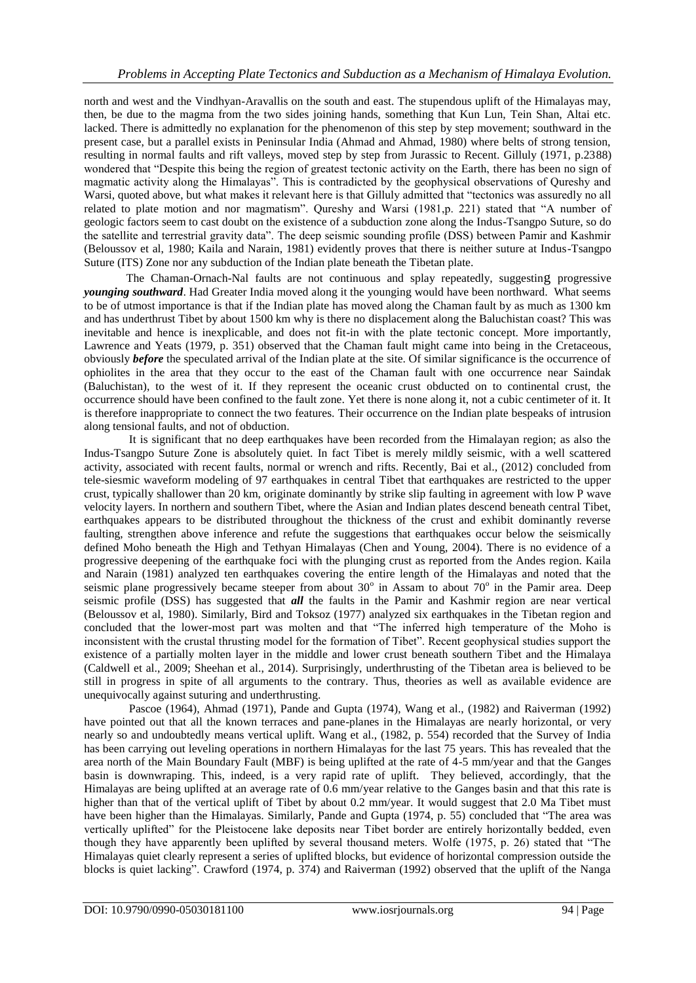north and west and the Vindhyan-Aravallis on the south and east. The stupendous uplift of the Himalayas may, then, be due to the magma from the two sides joining hands, something that Kun Lun, Tein Shan, Altai etc. lacked. There is admittedly no explanation for the phenomenon of this step by step movement; southward in the present case, but a parallel exists in Peninsular India (Ahmad and Ahmad, 1980) where belts of strong tension, resulting in normal faults and rift valleys, moved step by step from Jurassic to Recent. Gilluly (1971, p.2388) wondered that "Despite this being the region of greatest tectonic activity on the Earth, there has been no sign of magmatic activity along the Himalayas". This is contradicted by the geophysical observations of Qureshy and Warsi, quoted above, but what makes it relevant here is that Gilluly admitted that "tectonics was assuredly no all related to plate motion and nor magmatism". Qureshy and Warsi (1981,p. 221) stated that "A number of geologic factors seem to cast doubt on the existence of a subduction zone along the Indus-Tsangpo Suture, so do the satellite and terrestrial gravity data". The deep seismic sounding profile (DSS) between Pamir and Kashmir (Beloussov et al, 1980; Kaila and Narain, 1981) evidently proves that there is neither suture at Indus-Tsangpo Suture (ITS) Zone nor any subduction of the Indian plate beneath the Tibetan plate.

The Chaman-Ornach-Nal faults are not continuous and splay repeatedly, suggesting progressive *younging southward*. Had Greater India moved along it the younging would have been northward. What seems to be of utmost importance is that if the Indian plate has moved along the Chaman fault by as much as 1300 km and has underthrust Tibet by about 1500 km why is there no displacement along the Baluchistan coast? This was inevitable and hence is inexplicable, and does not fit-in with the plate tectonic concept. More importantly, Lawrence and Yeats (1979, p. 351) observed that the Chaman fault might came into being in the Cretaceous, obviously *before* the speculated arrival of the Indian plate at the site. Of similar significance is the occurrence of ophiolites in the area that they occur to the east of the Chaman fault with one occurrence near Saindak (Baluchistan), to the west of it. If they represent the oceanic crust obducted on to continental crust, the occurrence should have been confined to the fault zone. Yet there is none along it, not a cubic centimeter of it. It is therefore inappropriate to connect the two features. Their occurrence on the Indian plate bespeaks of intrusion along tensional faults, and not of obduction.

It is significant that no deep earthquakes have been recorded from the Himalayan region; as also the Indus-Tsangpo Suture Zone is absolutely quiet. In fact Tibet is merely mildly seismic, with a well scattered activity, associated with recent faults, normal or wrench and rifts. Recently, Bai et al., (2012) concluded from tele-siesmic waveform modeling of 97 earthquakes in central Tibet that earthquakes are restricted to the upper crust, typically shallower than 20 km, originate dominantly by strike slip faulting in agreement with low P wave velocity layers. In northern and southern Tibet, where the Asian and Indian plates descend beneath central Tibet, earthquakes appears to be distributed throughout the thickness of the crust and exhibit dominantly reverse faulting, strengthen above inference and refute the suggestions that earthquakes occur below the seismically defined Moho beneath the High and Tethyan Himalayas (Chen and Young, 2004). There is no evidence of a progressive deepening of the earthquake foci with the plunging crust as reported from the Andes region. Kaila and Narain (1981) analyzed ten earthquakes covering the entire length of the Himalayas and noted that the seismic plane progressively became steeper from about  $30^{\circ}$  in Assam to about  $70^{\circ}$  in the Pamir area. Deep seismic profile (DSS) has suggested that *all* the faults in the Pamir and Kashmir region are near vertical (Beloussov et al, 1980). Similarly, Bird and Toksoz (1977) analyzed six earthquakes in the Tibetan region and concluded that the lower-most part was molten and that "The inferred high temperature of the Moho is inconsistent with the crustal thrusting model for the formation of Tibet". Recent geophysical studies support the existence of a partially molten layer in the middle and lower crust beneath southern Tibet and the Himalaya (Caldwell et al., 2009; Sheehan et al., 2014). Surprisingly, underthrusting of the Tibetan area is believed to be still in progress in spite of all arguments to the contrary. Thus, theories as well as available evidence are unequivocally against suturing and underthrusting.

Pascoe (1964), Ahmad (1971), Pande and Gupta (1974), Wang et al., (1982) and Raiverman (1992) have pointed out that all the known terraces and pane-planes in the Himalayas are nearly horizontal, or very nearly so and undoubtedly means vertical uplift. Wang et al., (1982, p. 554) recorded that the Survey of India has been carrying out leveling operations in northern Himalayas for the last 75 years. This has revealed that the area north of the Main Boundary Fault (MBF) is being uplifted at the rate of 4-5 mm/year and that the Ganges basin is downwraping. This, indeed, is a very rapid rate of uplift. They believed, accordingly, that the Himalayas are being uplifted at an average rate of 0.6 mm/year relative to the Ganges basin and that this rate is higher than that of the vertical uplift of Tibet by about 0.2 mm/year. It would suggest that 2.0 Ma Tibet must have been higher than the Himalayas. Similarly, Pande and Gupta (1974, p. 55) concluded that "The area was vertically uplifted" for the Pleistocene lake deposits near Tibet border are entirely horizontally bedded, even though they have apparently been uplifted by several thousand meters. Wolfe (1975, p. 26) stated that "The Himalayas quiet clearly represent a series of uplifted blocks, but evidence of horizontal compression outside the blocks is quiet lacking". Crawford (1974, p. 374) and Raiverman (1992) observed that the uplift of the Nanga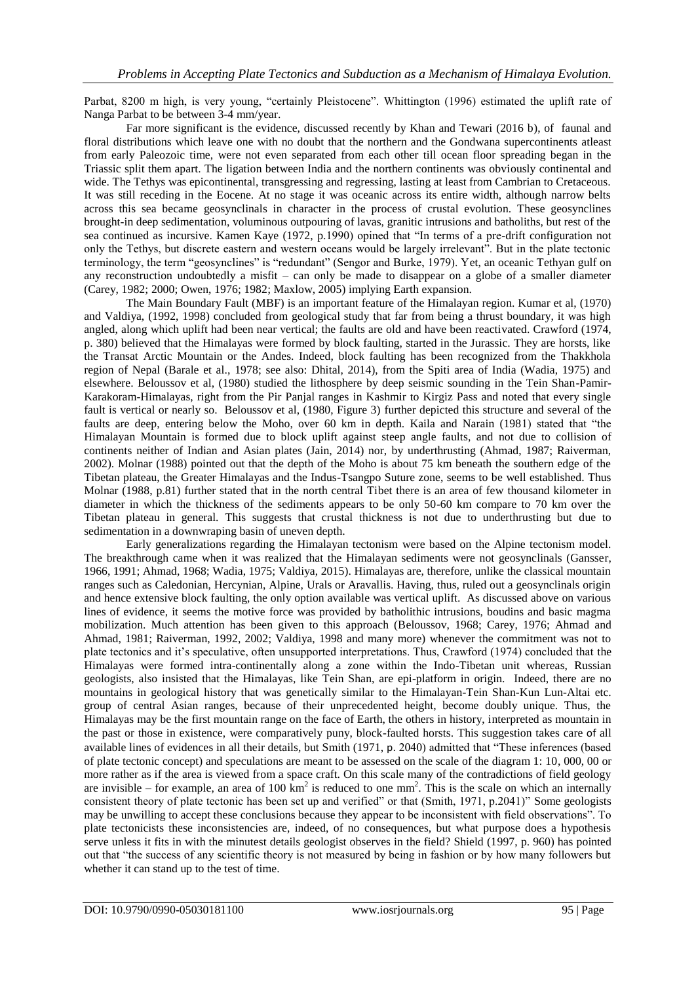Parbat, 8200 m high, is very young, "certainly Pleistocene". Whittington (1996) estimated the uplift rate of Nanga Parbat to be between 3-4 mm/year.

Far more significant is the evidence, discussed recently by Khan and Tewari (2016 b), of faunal and floral distributions which leave one with no doubt that the northern and the Gondwana supercontinents atleast from early Paleozoic time, were not even separated from each other till ocean floor spreading began in the Triassic split them apart. The ligation between India and the northern continents was obviously continental and wide. The Tethys was epicontinental, transgressing and regressing, lasting at least from Cambrian to Cretaceous. It was still receding in the Eocene. At no stage it was oceanic across its entire width, although narrow belts across this sea became geosynclinals in character in the process of crustal evolution. These geosynclines brought-in deep sedimentation, voluminous outpouring of lavas, granitic intrusions and batholiths, but rest of the sea continued as incursive. Kamen Kaye (1972, p.1990) opined that "In terms of a pre-drift configuration not only the Tethys, but discrete eastern and western oceans would be largely irrelevant". But in the plate tectonic terminology, the term "geosynclines" is "redundant" (Sengor and Burke, 1979). Yet, an oceanic Tethyan gulf on any reconstruction undoubtedly a misfit – can only be made to disappear on a globe of a smaller diameter (Carey, 1982; 2000; Owen, 1976; 1982; Maxlow, 2005) implying Earth expansion.

The Main Boundary Fault (MBF) is an important feature of the Himalayan region. Kumar et al, (1970) and Valdiya, (1992, 1998) concluded from geological study that far from being a thrust boundary, it was high angled, along which uplift had been near vertical; the faults are old and have been reactivated. Crawford (1974, p. 380) believed that the Himalayas were formed by block faulting, started in the Jurassic. They are horsts, like the Transat Arctic Mountain or the Andes. Indeed, block faulting has been recognized from the Thakkhola region of Nepal (Barale et al., 1978; see also: Dhital, 2014), from the Spiti area of India (Wadia, 1975) and elsewhere. Beloussov et al, (1980) studied the lithosphere by deep seismic sounding in the Tein Shan-Pamir-Karakoram-Himalayas, right from the Pir Panjal ranges in Kashmir to Kirgiz Pass and noted that every single fault is vertical or nearly so. Beloussov et al, (1980, Figure 3) further depicted this structure and several of the faults are deep, entering below the Moho, over 60 km in depth. Kaila and Narain (1981) stated that "the Himalayan Mountain is formed due to block uplift against steep angle faults, and not due to collision of continents neither of Indian and Asian plates (Jain, 2014) nor, by underthrusting (Ahmad, 1987; Raiverman, 2002). Molnar (1988) pointed out that the depth of the Moho is about 75 km beneath the southern edge of the Tibetan plateau, the Greater Himalayas and the Indus-Tsangpo Suture zone, seems to be well established. Thus Molnar (1988, p.81) further stated that in the north central Tibet there is an area of few thousand kilometer in diameter in which the thickness of the sediments appears to be only 50-60 km compare to 70 km over the Tibetan plateau in general. This suggests that crustal thickness is not due to underthrusting but due to sedimentation in a downwraping basin of uneven depth.

Early generalizations regarding the Himalayan tectonism were based on the Alpine tectonism model. The breakthrough came when it was realized that the Himalayan sediments were not geosynclinals (Gansser, 1966, 1991; Ahmad, 1968; Wadia, 1975; Valdiya, 2015). Himalayas are, therefore, unlike the classical mountain ranges such as Caledonian, Hercynian, Alpine, Urals or Aravallis. Having, thus, ruled out a geosynclinals origin and hence extensive block faulting, the only option available was vertical uplift. As discussed above on various lines of evidence, it seems the motive force was provided by batholithic intrusions, boudins and basic magma mobilization. Much attention has been given to this approach (Beloussov, 1968; Carey, 1976; Ahmad and Ahmad, 1981; Raiverman, 1992, 2002; Valdiya, 1998 and many more) whenever the commitment was not to plate tectonics and it's speculative, often unsupported interpretations. Thus, Crawford (1974) concluded that the Himalayas were formed intra-continentally along a zone within the Indo-Tibetan unit whereas, Russian geologists, also insisted that the Himalayas, like Tein Shan, are epi-platform in origin. Indeed, there are no mountains in geological history that was genetically similar to the Himalayan-Tein Shan-Kun Lun-Altai etc. group of central Asian ranges, because of their unprecedented height, become doubly unique. Thus, the Himalayas may be the first mountain range on the face of Earth, the others in history, interpreted as mountain in the past or those in existence, were comparatively puny, block-faulted horsts. This suggestion takes care of all available lines of evidences in all their details, but Smith (1971, p. 2040) admitted that "These inferences (based of plate tectonic concept) and speculations are meant to be assessed on the scale of the diagram 1: 10, 000, 00 or more rather as if the area is viewed from a space craft. On this scale many of the contradictions of field geology are invisible – for example, an area of 100  $\text{km}^2$  is reduced to one mm<sup>2</sup>. This is the scale on which an internally consistent theory of plate tectonic has been set up and verified" or that (Smith, 1971, p.2041)" Some geologists may be unwilling to accept these conclusions because they appear to be inconsistent with field observations". To plate tectonicists these inconsistencies are, indeed, of no consequences, but what purpose does a hypothesis serve unless it fits in with the minutest details geologist observes in the field? Shield (1997, p. 960) has pointed out that "the success of any scientific theory is not measured by being in fashion or by how many followers but whether it can stand up to the test of time.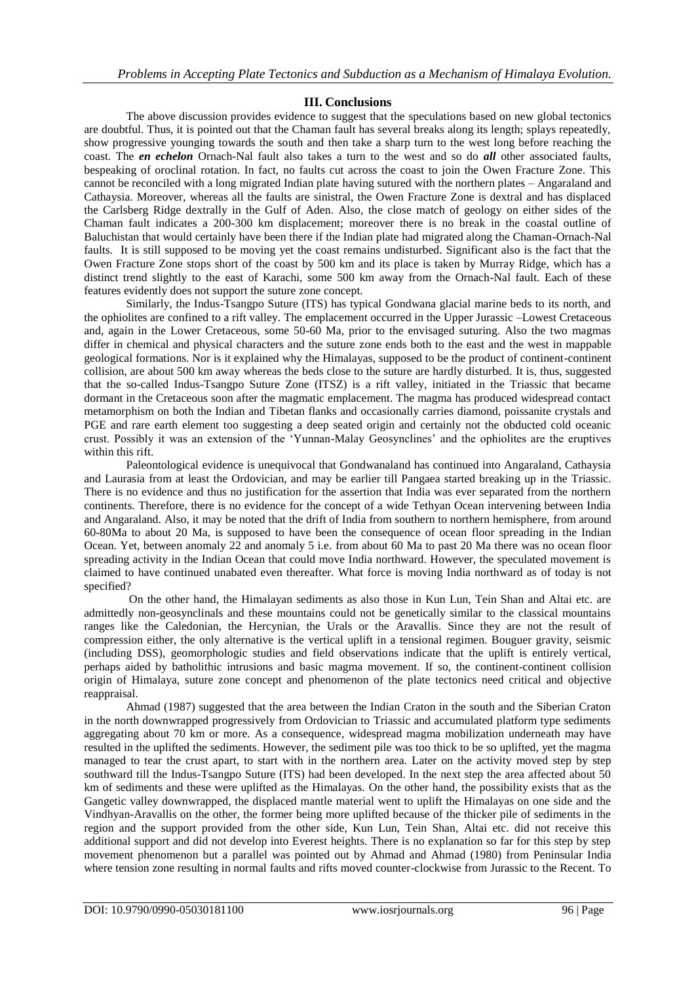### **III. Conclusions**

The above discussion provides evidence to suggest that the speculations based on new global tectonics are doubtful. Thus, it is pointed out that the Chaman fault has several breaks along its length; splays repeatedly, show progressive younging towards the south and then take a sharp turn to the west long before reaching the coast. The *en echelon* Ornach-Nal fault also takes a turn to the west and so do *all* other associated faults, bespeaking of oroclinal rotation. In fact, no faults cut across the coast to join the Owen Fracture Zone. This cannot be reconciled with a long migrated Indian plate having sutured with the northern plates – Angaraland and Cathaysia. Moreover, whereas all the faults are sinistral, the Owen Fracture Zone is dextral and has displaced the Carlsberg Ridge dextrally in the Gulf of Aden. Also, the close match of geology on either sides of the Chaman fault indicates a 200-300 km displacement; moreover there is no break in the coastal outline of Baluchistan that would certainly have been there if the Indian plate had migrated along the Chaman-Ornach-Nal faults. It is still supposed to be moving yet the coast remains undisturbed. Significant also is the fact that the Owen Fracture Zone stops short of the coast by 500 km and its place is taken by Murray Ridge, which has a distinct trend slightly to the east of Karachi, some 500 km away from the Ornach-Nal fault. Each of these features evidently does not support the suture zone concept.

Similarly, the Indus-Tsangpo Suture (ITS) has typical Gondwana glacial marine beds to its north, and the ophiolites are confined to a rift valley. The emplacement occurred in the Upper Jurassic –Lowest Cretaceous and, again in the Lower Cretaceous, some 50-60 Ma, prior to the envisaged suturing. Also the two magmas differ in chemical and physical characters and the suture zone ends both to the east and the west in mappable geological formations. Nor is it explained why the Himalayas, supposed to be the product of continent-continent collision, are about 500 km away whereas the beds close to the suture are hardly disturbed. It is, thus, suggested that the so-called Indus-Tsangpo Suture Zone (ITSZ) is a rift valley, initiated in the Triassic that became dormant in the Cretaceous soon after the magmatic emplacement. The magma has produced widespread contact metamorphism on both the Indian and Tibetan flanks and occasionally carries diamond, poissanite crystals and PGE and rare earth element too suggesting a deep seated origin and certainly not the obducted cold oceanic crust. Possibly it was an extension of the 'Yunnan-Malay Geosynclines' and the ophiolites are the eruptives within this rift.

Paleontological evidence is unequivocal that Gondwanaland has continued into Angaraland, Cathaysia and Laurasia from at least the Ordovician, and may be earlier till Pangaea started breaking up in the Triassic. There is no evidence and thus no justification for the assertion that India was ever separated from the northern continents. Therefore, there is no evidence for the concept of a wide Tethyan Ocean intervening between India and Angaraland. Also, it may be noted that the drift of India from southern to northern hemisphere, from around 60-80Ma to about 20 Ma, is supposed to have been the consequence of ocean floor spreading in the Indian Ocean. Yet, between anomaly 22 and anomaly 5 i.e. from about 60 Ma to past 20 Ma there was no ocean floor spreading activity in the Indian Ocean that could move India northward. However, the speculated movement is claimed to have continued unabated even thereafter. What force is moving India northward as of today is not specified?

On the other hand, the Himalayan sediments as also those in Kun Lun, Tein Shan and Altai etc. are admittedly non-geosynclinals and these mountains could not be genetically similar to the classical mountains ranges like the Caledonian, the Hercynian, the Urals or the Aravallis. Since they are not the result of compression either, the only alternative is the vertical uplift in a tensional regimen. Bouguer gravity, seismic (including DSS), geomorphologic studies and field observations indicate that the uplift is entirely vertical, perhaps aided by batholithic intrusions and basic magma movement. If so, the continent-continent collision origin of Himalaya, suture zone concept and phenomenon of the plate tectonics need critical and objective reappraisal.

Ahmad (1987) suggested that the area between the Indian Craton in the south and the Siberian Craton in the north downwrapped progressively from Ordovician to Triassic and accumulated platform type sediments aggregating about 70 km or more. As a consequence, widespread magma mobilization underneath may have resulted in the uplifted the sediments. However, the sediment pile was too thick to be so uplifted, yet the magma managed to tear the crust apart, to start with in the northern area. Later on the activity moved step by step southward till the Indus-Tsangpo Suture (ITS) had been developed. In the next step the area affected about 50 km of sediments and these were uplifted as the Himalayas. On the other hand, the possibility exists that as the Gangetic valley downwrapped, the displaced mantle material went to uplift the Himalayas on one side and the Vindhyan-Aravallis on the other, the former being more uplifted because of the thicker pile of sediments in the region and the support provided from the other side, Kun Lun, Tein Shan, Altai etc. did not receive this additional support and did not develop into Everest heights. There is no explanation so far for this step by step movement phenomenon but a parallel was pointed out by Ahmad and Ahmad (1980) from Peninsular India where tension zone resulting in normal faults and rifts moved counter-clockwise from Jurassic to the Recent. To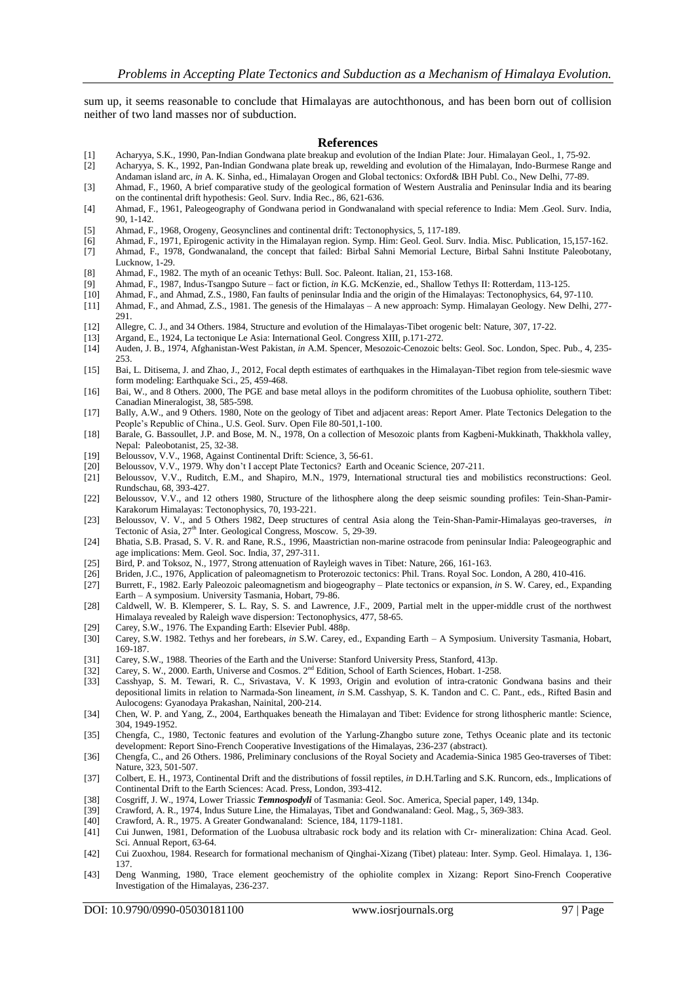sum up, it seems reasonable to conclude that Himalayas are autochthonous, and has been born out of collision neither of two land masses nor of subduction.

#### **References**

- [1] Acharyya, S.K., 1990, Pan-Indian Gondwana plate breakup and evolution of the Indian Plate: Jour. Himalayan Geol., 1, 75-92.
- [2] Acharyya, S. K., 1992, Pan-Indian Gondwana plate break up, rewelding and evolution of the Himalayan, Indo-Burmese Range and Andaman island arc, *in* A. K. Sinha, ed., Himalayan Orogen and Global tectonics: Oxford& IBH Publ. Co., New Delhi, 77-89.
- [3] Ahmad, F., 1960, A brief comparative study of the geological formation of Western Australia and Peninsular India and its bearing on the continental drift hypothesis: Geol. Surv. India Rec., 86, 621-636.
- [4] Ahmad, F., 1961, Paleogeography of Gondwana period in Gondwanaland with special reference to India: Mem .Geol. Surv. India, 90, 1-142.
- [5] Ahmad, F., 1968, Orogeny, Geosynclines and continental drift: Tectonophysics, 5, 117-189.
- [6] Ahmad, F., 1971, Epirogenic activity in the Himalayan region. Symp. Him: Geol. Geol. Surv. India. Misc. Publication, 15,157-162. [7] Ahmad, F., 1978, Gondwanaland, the concept that failed: Birbal Sahni Memorial Lecture, Birbal Sahni Institute Paleobotany,
- Lucknow, 1-29.
- [8] Ahmad, F., 1982. The myth of an oceanic Tethys: Bull. Soc. Paleont. Italian, 21, 153-168.
- [9] Ahmad, F., 1987, Indus-Tsangpo Suture fact or fiction, *in* K.G. McKenzie, ed., Shallow Tethys II: Rotterdam, 113-125.
- [10] Ahmad, F., and Ahmad, Z.S., 1980, Fan faults of peninsular India and the origin of the Himalayas: Tectonophysics, 64, 97-110. [11] Ahmad, F., and Ahmad, Z.S., 1981. The genesis of the Himalayas – A new approach: Symp. Himalayan Geology. New Delhi, 277- 291.
- [12] Allegre, C. J., and 34 Others. 1984, Structure and evolution of the Himalayas-Tibet orogenic belt: Nature, 307, 17-22.<br>[13] Argand, E., 1924, La tectonique Le Asia: International Geol. Congress XIII, p.171-272.
- [13] Argand, E., 1924, La tectonique Le Asia: International Geol. Congress XIII, p.171-272.
- [14] Auden, J. B., 1974, Afghanistan-West Pakistan, *in* A.M. Spencer, Mesozoic-Cenozoic belts: Geol. Soc. London, Spec. Pub., 4, 235- 253.
- [15] Bai, L. Ditisema, J. and Zhao, J., 2012, Focal depth estimates of earthquakes in the Himalayan-Tibet region from tele-siesmic wave form modeling: Earthquake Sci., 25, 459-468.
- [16] Bai, W., and 8 Others. 2000, The PGE and base metal alloys in the podiform chromitites of the Luobusa ophiolite, southern Tibet: Canadian Mineralogist, 38, 585-598.
- [17] Bally, A.W., and 9 Others. 1980, Note on the geology of Tibet and adjacent areas: Report Amer. Plate Tectonics Delegation to the People's Republic of China., U.S. Geol. Surv. Open File 80-501,1-100.
- [18] Barale, G. Bassoullet, J.P. and Bose, M. N., 1978, On a collection of Mesozoic plants from Kagbeni-Mukkinath, Thakkhola valley, Nepal: Paleobotanist, 25, 32-38.
- [19] Beloussov, V.V., 1968, Against Continental Drift: Science, 3, 56-61.
- [20] Beloussov, V.V., 1979. Why don't I accept Plate Tectonics? Earth and Oceanic Science, 207-211.
- [21] Beloussov, V.V., Ruditch, E.M., and Shapiro, M.N., 1979, International structural ties and mobilistics reconstructions: Geol. Rundschau, 68, 393-427.
- [22] Beloussov, V.V., and 12 others 1980, Structure of the lithosphere along the deep seismic sounding profiles: Tein-Shan-Pamir-Karakorum Himalayas: Tectonophysics, 70, 193-221.
- [23] Beloussov, V. V., and 5 Others 1982, Deep structures of central Asia along the Tein-Shan-Pamir-Himalayas geo-traverses, *in* Tectonic of Asia, 27<sup>th</sup> Inter. Geological Congress, Moscow. 5, 29-39.
- [24] Bhatia, S.B. Prasad, S. V. R. and Rane, R.S., 1996, Maastrictian non-marine ostracode from peninsular India: Paleogeographic and age implications: Mem. Geol. Soc. India, 37, 297-311.
- [25] Bird, P. and Toksoz, N., 1977, Strong attenuation of Rayleigh waves in Tibet: Nature, 266, 161-163.<br>[26] Briden, J.C., 1976, Application of paleomagnetism to Proterozoic tectonics: Phil. Trans. Royal Soc.]
- [26] Briden, J.C., 1976, Application of paleomagnetism to Proterozoic tectonics: Phil. Trans. Royal Soc. London, A 280, 410-416.
- [27] Burrett, F., 1982. Early Paleozoic paleomagnetism and biogeography Plate tectonics or expansion, *in* S. W. Carey, ed., Expanding Earth – A symposium. University Tasmania, Hobart, 79-86.
- [28] Caldwell, W. B. Klemperer, S. L. Ray, S. S. and Lawrence, J.F., 2009, Partial melt in the upper-middle crust of the northwest Himalaya revealed by Raleigh wave dispersion: Tectonophysics, 477, 58-65.
- [29] Carey, S.W., 1976. The Expanding Earth: Elsevier Publ. 488p.
- [30] Carey, S.W. 1982. Tethys and her forebears, *in* S.W. Carey, ed., Expanding Earth A Symposium. University Tasmania, Hobart, 169-187.
- [31] Carey, S.W., 1988. Theories of the Earth and the Universe: Stanford University Press, Stanford, 413p.
- [32] Carey, S. W., 2000. Earth, Universe and Cosmos.  $2<sup>nd</sup>$  Edition, School of Earth Sciences, Hobart. 1-258.<br>[33] Casshyap, S. M. Tewari, R. C., Srivastava, V. K 1993, Origin and evolution of intra-cratonic
- [33] Casshyap, S. M. Tewari, R. C., Srivastava, V. K 1993, Origin and evolution of intra-cratonic Gondwana basins and their depositional limits in relation to Narmada-Son lineament, *in* S.M. Casshyap, S. K. Tandon and C. C. Pant., eds., Rifted Basin and Aulocogens: Gyanodaya Prakashan, Nainital, 200-214.
- [34] Chen, W. P. and Yang, Z., 2004, Earthquakes beneath the Himalayan and Tibet: Evidence for strong lithospheric mantle: Science, 304, 1949-1952.
- [35] Chengfa, C., 1980, Tectonic features and evolution of the Yarlung-Zhangbo suture zone, Tethys Oceanic plate and its tectonic development: Report Sino-French Cooperative Investigations of the Himalayas, 236-237 (abstract).
- [36] Chengfa, C., and 26 Others. 1986, Preliminary conclusions of the Royal Society and Academia-Sinica 1985 Geo-traverses of Tibet: Nature, 323, 501-507.
- [37] Colbert, E. H., 1973, Continental Drift and the distributions of fossil reptiles, *in* D.H.Tarling and S.K. Runcorn, eds., Implications of Continental Drift to the Earth Sciences: Acad. Press, London, 393-412.
- [38] Cosgriff, J. W., 1974, Lower Triassic *Temnospodyli* of Tasmania: Geol. Soc. America, Special paper, 149, 134p.
- [39] Crawford, A. R., 1974, Indus Suture Line, the Himalayas, Tibet and Gondwanaland: Geol. Mag., 5, 369-383.
- [40] Crawford, A. R., 1975. A Greater Gondwanaland: Science, 184, 1179-1181.
- [41] Cui Junwen, 1981, Deformation of the Luobusa ultrabasic rock body and its relation with Cr- mineralization: China Acad. Geol. Sci. Annual Report, 63-64.
- [42] Cui Zuoxhou, 1984. Research for formational mechanism of Qinghai-Xizang (Tibet) plateau: Inter. Symp. Geol. Himalaya. 1, 136- 137.
- [43] Deng Wanming, 1980, Trace element geochemistry of the ophiolite complex in Xizang: Report Sino-French Cooperative Investigation of the Himalayas, 236-237.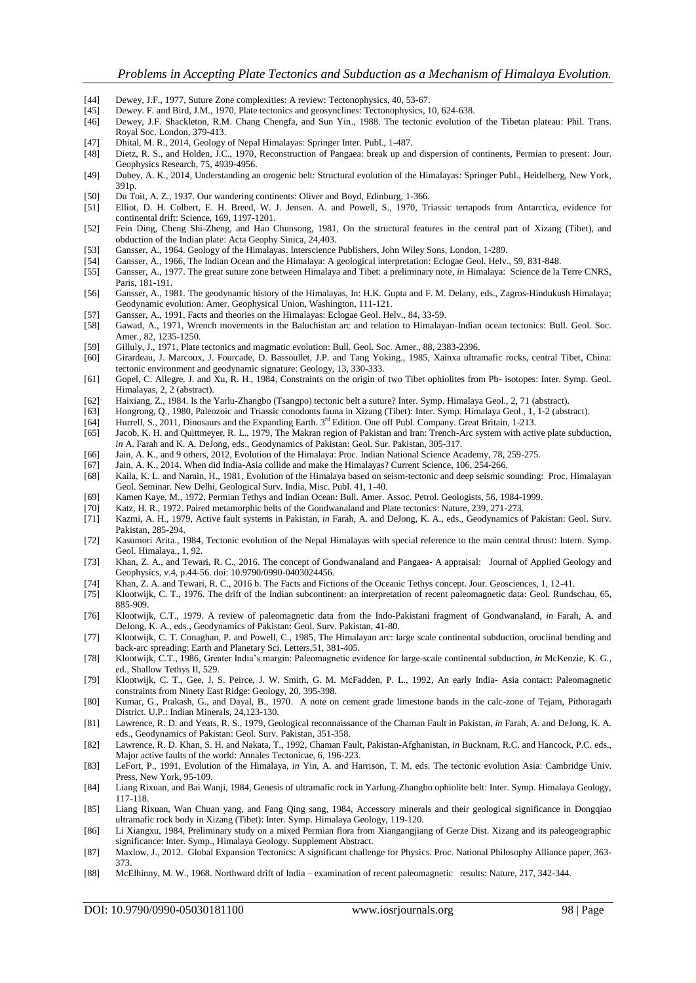- [44] Dewey, J.F., 1977, Suture Zone complexities: A review: Tectonophysics, 40, 53-67.<br>[45] Dewey, F. and Bird, J.M., 1970, Plate tectonics and geosynclines: Tectonophysics, 1
- [45] Dewey. F. and Bird, J.M., 1970, Plate tectonics and geosynclines: Tectonophysics, 10, 624-638.
- [46] Dewey, J.F. Shackleton, R.M. Chang Chengfa, and Sun Yin., 1988. The tectonic evolution of the Tibetan plateau: Phil. Trans. Royal Soc. London, 379-413.
- 
- [47] Dhital, M. R., 2014, Geology of Nepal Himalayas: Springer Inter. Publ., 1-487. [48] Dietz, R. S., and Holden, J.C., 1970, Reconstruction of Pangaea: break up and dispersion of continents, Permian to present: Jour. Geophysics Research, 75, 4939-4956.
- [49] Dubey, A. K., 2014, Understanding an orogenic belt: Structural evolution of the Himalayas: Springer Publ., Heidelberg, New York, 391p.
- [50] Du Toit, A. Z., 1937. Our wandering continents: Oliver and Boyd, Edinburg, 1-366.
- [51] Elliot, D. H. Colbert, E. H. Breed, W. J. Jensen. A. and Powell, S., 1970, Triassic tertapods from Antarctica, evidence for continental drift: Science, 169, 1197-1201.
- [52] Fein Ding, Cheng Shi-Zheng, and Hao Chunsong, 1981, On the structural features in the central part of Xizang (Tibet), and obduction of the Indian plate: Acta Geophy Sinica, 24,403.
- [53] Gansser, A., 1964. Geology of the Himalayas. Interscience Publishers, John Wiley Sons, London, 1-289.
- [54] Gansser, A., 1966, The Indian Ocean and the Himalaya: A geological interpretation: Eclogae Geol. Helv., 59, 831-848.
- [55] Gansser, A., 1977. The great suture zone between Himalaya and Tibet: a preliminary note, *in* Himalaya: Science de la Terre CNRS, Paris, 181-191.
- [56] Gansser, A., 1981. The geodynamic history of the Himalayas, In: H.K. Gupta and F. M. Delany, eds., Zagros-Hindukush Himalaya; Geodynamic evolution: Amer. Geophysical Union, Washington, 111-121.
- [57] Gansser, A., 1991, Facts and theories on the Himalayas: Eclogae Geol. Helv., 84, 33-59.
- [58] Gawad, A., 1971, Wrench movements in the Baluchistan arc and relation to Himalayan-Indian ocean tectonics: Bull. Geol. Soc. Amer., 82, 1235-1250.
- [59] Gilluly, J., 1971, Plate tectonics and magmatic evolution: Bull. Geol. Soc. Amer., 88, 2383-2396.
- [60] Girardeau, J. Marcoux, J. Fourcade, D. Bassoullet, J.P. and Tang Yoking., 1985, Xainxa ultramafic rocks, central Tibet, China: tectonic environment and geodynamic signature: Geology, 13, 330-333.
- [61] Gopel, C. Allegre. J. and Xu, R. H., 1984, Constraints on the origin of two Tibet ophiolites from Pb- isotopes: Inter. Symp. Geol. Himalayas, 2, 2 (abstract).
- [62] Haixiang, Z., 1984. Is the Yarlu-Zhangbo (Tsangpo) tectonic belt a suture? Inter. Symp. Himalaya Geol., 2, 71 (abstract).
- [63] Hongrong, Q., 1980, Paleozoic and Triassic conodonts fauna in Xizang (Tibet): Inter. Symp. Himalaya Geol., 1, 1-2 (abstract).
- [64] Hurrell, S., 2011, Dinosaurs and the Expanding Earth. 3<sup>rd</sup> Edition. One off Publ. Company. Great Britain, 1-213.<br>[65] Jacob, K. H. and Quittmeyer, R. L., 1979, The Makran region of Pakistan and Iran: Trench-Arc syste
- Jacob, K. H. and Quittmeyer, R. L., 1979, The Makran region of Pakistan and Iran: Trench-Arc system with active plate subduction, *in* A. Farah and K. A. DeJong, eds., Geodynamics of Pakistan: Geol. Sur. Pakistan, 305-317.
- [66] Jain, A. K., and 9 others, 2012, Evolution of the Himalaya: Proc. Indian National Science Academy, 78, 259-275.<br>[67] Jain, A. K., 2014. When did India-Asia collide and make the Himalayas? Current Science, 106, 254-266
- [67] Jain, A. K., 2014. When did India-Asia collide and make the Himalayas? Current Science, 106, 254-266.
- [68] Kaila, K. L. and Narain, H., 1981, Evolution of the Himalaya based on seism-tectonic and deep seismic sounding: Proc. Himalayan Geol. Seminar. New Delhi, Geological Surv. India, Misc. Publ. 41, 1-40.
- [69] Kamen Kaye, M., 1972, Permian Tethys and Indian Ocean: Bull. Amer. Assoc. Petrol. Geologists, 56, 1984-1999.<br>[70] Katz, H. R., 1972. Paired metamorphic belts of the Gondwanaland and Plate tectonics: Nature, 239, 271-2
- Katz, H. R., 1972. Paired metamorphic belts of the Gondwanaland and Plate tectonics: Nature, 239, 271-273.
- [71] Kazmi, A. H., 1979, Active fault systems in Pakistan, *in* Farah, A. and DeJong, K. A., eds., Geodynamics of Pakistan: Geol. Surv. Pakistan, 285-294.
- [72] Kasumori Arita., 1984, Tectonic evolution of the Nepal Himalayas with special reference to the main central thrust: Intern. Symp. Geol. Himalaya., 1, 92.
- [73] Khan, Z. A., and Tewari, R. C., 2016. The concept of Gondwanaland and Pangaea- A appraisal: Journal of Applied Geology and Geophysics, v.4, p.44-56. doi: 10.9790/0990-0403024456.
- 
- [74] Khan, Z. A. and Tewari, R. C., 2016 b. The Facts and Fictions of the Oceanic Tethys concept. Jour. Geosciences, 1, 12-41. [75] Klootwijk, C. T., 1976. The drift of the Indian subcontinent: an interpretation of recent paleomagnetic data: Geol. Rundschau, 65, 885-909.
- [76] Klootwijk, C.T., 1979. A review of paleomagnetic data from the Indo-Pakistani fragment of Gondwanaland, *in* Farah, A. and DeJong, K. A., eds., Geodynamics of Pakistan: Geol. Surv. Pakistan, 41-80.
- [77] Klootwijk, C. T. Conaghan, P. and Powell, C., 1985, The Himalayan arc: large scale continental subduction, oroclinal bending and back-arc spreading: Earth and Planetary Sci. Letters,51, 381-405.
- [78] Klootwijk, C.T., 1986, Greater India's margin: Paleomagnetic evidence for large-scale continental subduction, *in* McKenzie, K. G., ed., Shallow Tethys II, 529.
- [79] Klootwijk, C. T., Gee, J. S. Peirce, J. W. Smith, G. M. McFadden, P. L., 1992, An early India- Asia contact: Paleomagnetic constraints from Ninety East Ridge: Geology, 20, 395-398.
- [80] Kumar, G., Prakash, G., and Dayal, B., 1970. A note on cement grade limestone bands in the calc-zone of Tejam, Pithoragarh District. U.P.: Indian Minerals, 24,123-130.
- [81] Lawrence, R. D. and Yeats, R. S., 1979, Geological reconnaissance of the Chaman Fault in Pakistan, *in* Farah, A. and DeJong, K. A. eds., Geodynamics of Pakistan: Geol. Surv. Pakistan, 351-358.
- [82] Lawrence, R. D. Khan, S. H. and Nakata, T., 1992, Chaman Fault, Pakistan-Afghanistan, *in* Bucknam, R.C. and Hancock, P.C. eds., Major active faults of the world: Annales Tectonicae, 6, 196-223.
- [83] LeFort, P., 1991, Evolution of the Himalaya, *in* Yin, A. and Harrison, T. M. eds. The tectonic evolution Asia: Cambridge Univ. Press, New York, 95-109.
- [84] Liang Rixuan, and Bai Wanji, 1984, Genesis of ultramafic rock in Yarlung-Zhangbo ophiolite belt: Inter. Symp. Himalaya Geology, 117-118.
- [85] Liang Rixuan, Wan Chuan yang, and Fang Qing sang, 1984, Accessory minerals and their geological significance in Dongqiao ultramafic rock body in Xizang (Tibet): Inter. Symp. Himalaya Geology, 119-120.
- [86] Li Xiangxu, 1984, Preliminary study on a mixed Permian flora from Xiangangjiang of Gerze Dist. Xizang and its paleogeographic significance: Inter. Symp., Himalaya Geology. Supplement Abstract.
- [87] Maxlow, J., 2012. Global Expansion Tectonics: A significant challenge for Physics. Proc. National Philosophy Alliance paper, 363- 373.
- [88] McElhinny, M. W., 1968. Northward drift of India examination of recent paleomagnetic results: Nature, 217, 342-344.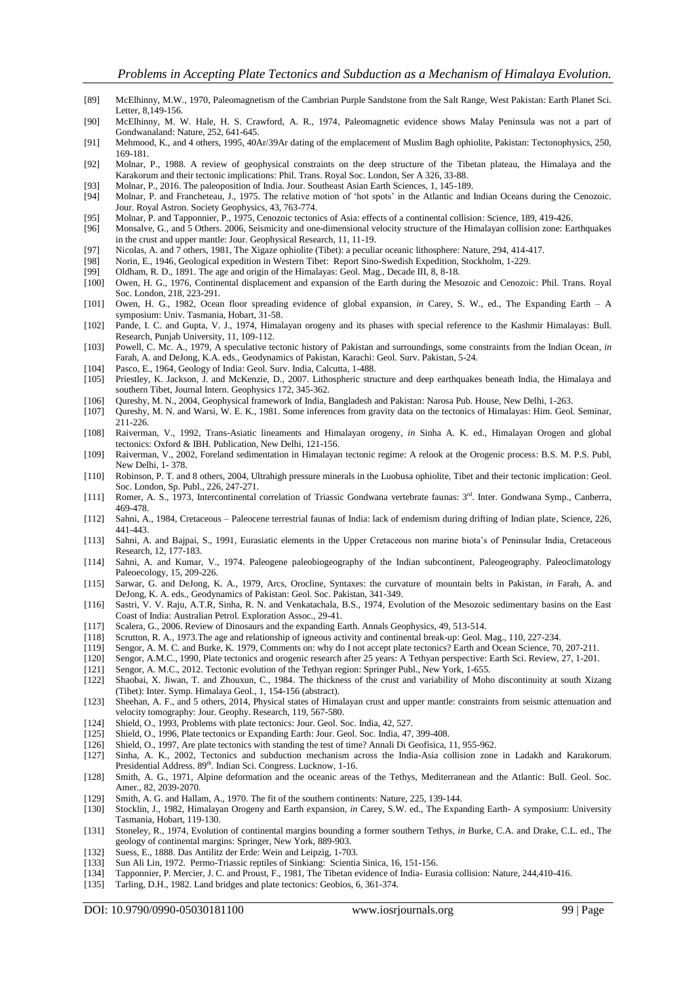- [89] McElhinny, M.W., 1970, Paleomagnetism of the Cambrian Purple Sandstone from the Salt Range, West Pakistan: Earth Planet Sci. Letter, 8,149-156.
- [90] McElhinny, M. W. Hale, H. S. Crawford, A. R., 1974, Paleomagnetic evidence shows Malay Peninsula was not a part of Gondwanaland: Nature, 252, 641-645.
- [91] Mehmood, K., and 4 others, 1995, 40Ar/39Ar dating of the emplacement of Muslim Bagh ophiolite, Pakistan: Tectonophysics, 250, 169-181.
- [92] Molnar, P., 1988. A review of geophysical constraints on the deep structure of the Tibetan plateau, the Himalaya and the Karakorum and their tectonic implications: Phil. Trans. Royal Soc. London, Ser A 326, 33-88.
- [93] Molnar, P., 2016. The paleoposition of India. Jour. Southeast Asian Earth Sciences, 1, 145-189.
- Molnar, P. and Francheteau, J., 1975. The relative motion of 'hot spots' in the Atlantic and Indian Oceans during the Cenozoic. Jour. Royal Astron. Society Geophysics, 43, 763-774.
- [95] Molnar, P. and Tapponnier, P., 1975, Cenozoic tectonics of Asia: effects of a continental collision: Science, 189, 419-426.
- [96] Monsalve, G., and 5 Others. 2006, Seismicity and one-dimensional velocity structure of the Himalayan collision zone: Earthquakes in the crust and upper mantle: Jour. Geophysical Research, 11, 11-19.
- [97] Nicolas, A. and 7 others, 1981, The Xigaze ophiolite (Tibet): a peculiar oceanic lithosphere: Nature, 294, 414-417.
- [98] Norin, E., 1946, Geological expedition in Western Tibet: Report Sino-Swedish Expedition, Stockholm, 1-229.
- [99] Oldham, R. D., 1891. The age and origin of the Himalayas: Geol. Mag., Decade III, 8, 8-18.
- [100] Owen, H. G., 1976, Continental displacement and expansion of the Earth during the Mesozoic and Cenozoic: Phil. Trans. Royal Soc. London, 218, 223-291.
- [101] Owen, H. G., 1982, Ocean floor spreading evidence of global expansion, *in* Carey, S. W., ed., The Expanding Earth A symposium: Univ. Tasmania, Hobart, 31-58.
- [102] Pande, I. C. and Gupta, V. J., 1974, Himalayan orogeny and its phases with special reference to the Kashmir Himalayas: Bull. Research, Punjab University, 11, 109-112.
- [103] Powell, C. Mc. A., 1979, A speculative tectonic history of Pakistan and surroundings, some constraints from the Indian Ocean, *in* Farah, A. and DeJong, K.A. eds., Geodynamics of Pakistan, Karachi: Geol. Surv. Pakistan, 5-24.
- [104] Pasco, E., 1964, Geology of India: Geol. Surv. India, Calcutta, 1-488.
- [105] Priestley, K. Jackson, J. and McKenzie, D., 2007. Lithospheric structure and deep earthquakes beneath India, the Himalaya and southern Tibet, Journal Intern. Geophysics 172, 345-362.
- [106] Qureshy, M. N., 2004, Geophysical framework of India, Bangladesh and Pakistan: Narosa Pub. House, New Delhi, 1-263.
- [107] Qureshy, M. N. and Warsi, W. E. K., 1981. Some inferences from gravity data on the tectonics of Himalayas: Him. Geol. Seminar, 211-226.
- [108] Raiverman, V., 1992, Trans-Asiatic lineaments and Himalayan orogeny, *in* Sinha A. K. ed., Himalayan Orogen and global tectonics: Oxford & IBH. Publication, New Delhi, 121-156.
- [109] Raiverman, V., 2002, Foreland sedimentation in Himalayan tectonic regime: A relook at the Orogenic process: B.S. M. P.S. Publ, New Delhi, 1- 378.
- [110] Robinson, P. T. and 8 others, 2004, Ultrahigh pressure minerals in the Luobusa ophiolite, Tibet and their tectonic implication: Geol. Soc. London, Sp. Publ., 226, 247-271.
- [111] Romer, A. S., 1973, Intercontinental correlation of Triassic Gondwana vertebrate faunas: 3<sup>rd</sup>. Inter. Gondwana Symp., Canberra, 469-478.
- [112] Sahni, A., 1984, Cretaceous Paleocene terrestrial faunas of India: lack of endemism during drifting of Indian plate, Science, 226, 441-443.
- [113] Sahni, A. and Bajpai, S., 1991, Eurasiatic elements in the Upper Cretaceous non marine biota's of Peninsular India, Cretaceous Research, 12, 177-183.
- [114] Sahni, A. and Kumar, V., 1974. Paleogene paleobiogeography of the Indian subcontinent, Paleogeography. Paleoclimatology Paleoecology, 15, 209-226.
- [115] Sarwar, G. and DeJong, K. A., 1979, Arcs, Orocline, Syntaxes: the curvature of mountain belts in Pakistan, *in* Farah, A. and DeJong, K. A. eds., Geodynamics of Pakistan: Geol. Soc. Pakistan, 341-349.
- [116] Sastri, V. V. Raju, A.T.R, Sinha, R. N. and Venkatachala, B.S., 1974, Evolution of the Mesozoic sedimentary basins on the East Coast of India: Australian Petrol. Exploration Assoc., 29-41.
- [117] Scalera, G., 2006. Review of Dinosaurs and the expanding Earth. Annals Geophysics, 49, 513-514.
- [118] Scrutton, R. A., 1973.The age and relationship of igneous activity and continental break-up: Geol. Mag., 110, 227-234.
- [119] Sengor, A. M. C. and Burke, K. 1979, Comments on: why do I not accept plate tectonics? Earth and Ocean Science, 70, 207-211.<br>[120] Sengor, A.M.C., 1990, Plate tectonics and orogenic research after 25 years: A Tethyan
- [120] Sengor, A.M.C., 1990, Plate tectonics and orogenic research after 25 years: A Tethyan perspective: Earth Sci. Review, 27, 1-201.
- [121] Sengor, A. M.C., 2012. Tectonic evolution of the Tethyan region: Springer Publ., New York, 1-655.
- [122] Shaobai, X. Jiwan, T. and Zhouxun, C., 1984. The thickness of the crust and variability of Moho discontinuity at south Xizang (Tibet): Inter. Symp. Himalaya Geol., 1, 154-156 (abstract).
- [123] Sheehan, A. F., and 5 others, 2014, Physical states of Himalayan crust and upper mantle: constraints from seismic attenuation and velocity tomography: Jour. Geophy. Research, 119, 567-580.
- [124] Shield, O., 1993, Problems with plate tectonics: Jour. Geol. Soc. India, 42, 527.
- Shield, O., 1996, Plate tectonics or Expanding Earth: Jour. Geol. Soc. India, 47, 399-408.
- [126] Shield, O., 1997, Are plate tectonics with standing the test of time? Annali Di Geofisica, 11, 955-962.
- [127] Sinha, A. K., 2002, Tectonics and subduction mechanism across the India-Asia collision zone in Ladakh and Karakorum. Presidential Address. 89<sup>th</sup>. Indian Sci. Congress. Lucknow, 1-16.
- [128] Smith, A. G., 1971, Alpine deformation and the oceanic areas of the Tethys, Mediterranean and the Atlantic: Bull. Geol. Soc. Amer., 82, 2039-2070.
- [129] Smith, A. G. and Hallam, A., 1970. The fit of the southern continents: Nature, 225, 139-144.
- [130] Stocklin, J., 1982, Himalayan Orogeny and Earth expansion, *in* Carey, S.W. ed., The Expanding Earth- A symposium: University Tasmania, Hobart, 119-130.
- [131] Stoneley, R., 1974, Evolution of continental margins bounding a former southern Tethys, *in* Burke, C.A. and Drake, C.L. ed., The geology of continental margins: Springer, New York, 889-903.
- [132] Suess, E., 1888. Das Antilitz der Erde: Wein and Leipzig, 1-703.
- [133] Sun Ali Lin, 1972. Permo-Triassic reptiles of Sinkiang: Scientia Sinica, 16, 151-156.
- [134] Tapponnier, P. Mercier, J. C. and Proust, F., 1981, The Tibetan evidence of India- Eurasia collision: Nature, 244,410-416.
- [135] Tarling, D.H., 1982. Land bridges and plate tectonics: Geobios, 6, 361-374.